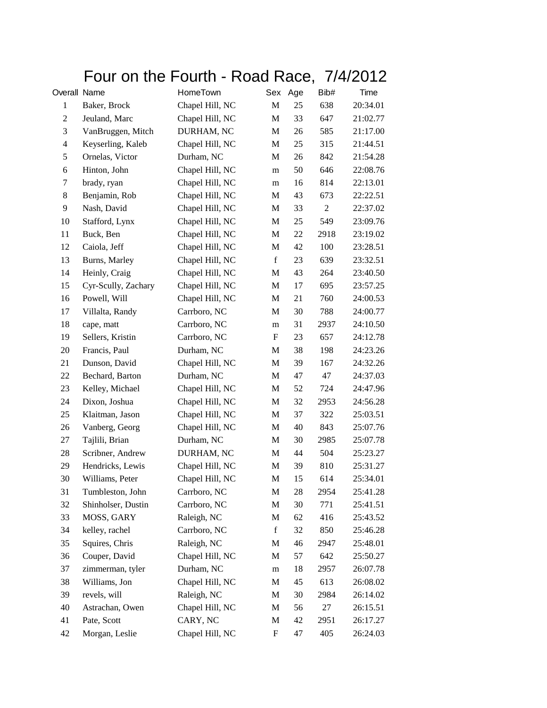## Four on the Fourth - Road Race, 7/4/2012

| Overall Name   |                     | HomeTown        | Sex                       | Age | Bib#           | Time     |
|----------------|---------------------|-----------------|---------------------------|-----|----------------|----------|
| $\mathbf{1}$   | Baker, Brock        | Chapel Hill, NC | M                         | 25  | 638            | 20:34.01 |
| $\mathfrak{2}$ | Jeuland, Marc       | Chapel Hill, NC | M                         | 33  | 647            | 21:02.77 |
| 3              | VanBruggen, Mitch   | DURHAM, NC      | M                         | 26  | 585            | 21:17.00 |
| $\overline{4}$ | Keyserling, Kaleb   | Chapel Hill, NC | M                         | 25  | 315            | 21:44.51 |
| 5              | Ornelas, Victor     | Durham, NC      | M                         | 26  | 842            | 21:54.28 |
| 6              | Hinton, John        | Chapel Hill, NC | m                         | 50  | 646            | 22:08.76 |
| 7              | brady, ryan         | Chapel Hill, NC | m                         | 16  | 814            | 22:13.01 |
| 8              | Benjamin, Rob       | Chapel Hill, NC | M                         | 43  | 673            | 22:22.51 |
| 9              | Nash, David         | Chapel Hill, NC | M                         | 33  | $\overline{2}$ | 22:37.02 |
| 10             | Stafford, Lynx      | Chapel Hill, NC | M                         | 25  | 549            | 23:09.76 |
| 11             | Buck, Ben           | Chapel Hill, NC | M                         | 22  | 2918           | 23:19.02 |
| 12             | Caiola, Jeff        | Chapel Hill, NC | M                         | 42  | 100            | 23:28.51 |
| 13             | Burns, Marley       | Chapel Hill, NC | $\mathbf f$               | 23  | 639            | 23:32.51 |
| 14             | Heinly, Craig       | Chapel Hill, NC | $\mathbf M$               | 43  | 264            | 23:40.50 |
| 15             | Cyr-Scully, Zachary | Chapel Hill, NC | M                         | 17  | 695            | 23:57.25 |
| 16             | Powell, Will        | Chapel Hill, NC | M                         | 21  | 760            | 24:00.53 |
| 17             | Villalta, Randy     | Carrboro, NC    | M                         | 30  | 788            | 24:00.77 |
| 18             | cape, matt          | Carrboro, NC    | m                         | 31  | 2937           | 24:10.50 |
| 19             | Sellers, Kristin    | Carrboro, NC    | $\boldsymbol{\mathrm{F}}$ | 23  | 657            | 24:12.78 |
| 20             | Francis, Paul       | Durham, NC      | M                         | 38  | 198            | 24:23.26 |
| 21             | Dunson, David       | Chapel Hill, NC | M                         | 39  | 167            | 24:32.26 |
| 22             | Bechard, Barton     | Durham, NC      | M                         | 47  | 47             | 24:37.03 |
| 23             | Kelley, Michael     | Chapel Hill, NC | M                         | 52  | 724            | 24:47.96 |
| 24             | Dixon, Joshua       | Chapel Hill, NC | M                         | 32  | 2953           | 24:56.28 |
| 25             | Klaitman, Jason     | Chapel Hill, NC | M                         | 37  | 322            | 25:03.51 |
| 26             | Vanberg, Georg      | Chapel Hill, NC | M                         | 40  | 843            | 25:07.76 |
| 27             | Tajlili, Brian      | Durham, NC      | M                         | 30  | 2985           | 25:07.78 |
| 28             | Scribner, Andrew    | DURHAM, NC      | $\mathbf{M}$              | 44  | 504            | 25:23.27 |
| 29             | Hendricks, Lewis    | Chapel Hill, NC | M                         | 39  | 810            | 25:31.27 |
| 30             | Williams, Peter     | Chapel Hill, NC | M                         | 15  | 614            | 25:34.01 |
| 31             | Tumbleston, John    | Carrboro, NC    | M                         | 28  | 2954           | 25:41.28 |
| 32             | Shinholser, Dustin  | Carrboro, NC    | M                         | 30  | 771            | 25:41.51 |
| 33             | MOSS, GARY          | Raleigh, NC     | M                         | 62  | 416            | 25:43.52 |
| 34             | kelley, rachel      | Carrboro, NC    | $\mathbf f$               | 32  | 850            | 25:46.28 |
| 35             | Squires, Chris      | Raleigh, NC     | M                         | 46  | 2947           | 25:48.01 |
| 36             | Couper, David       | Chapel Hill, NC | M                         | 57  | 642            | 25:50.27 |
| 37             | zimmerman, tyler    | Durham, NC      | m                         | 18  | 2957           | 26:07.78 |
| 38             | Williams, Jon       | Chapel Hill, NC | M                         | 45  | 613            | 26:08.02 |
| 39             | revels, will        | Raleigh, NC     | M                         | 30  | 2984           | 26:14.02 |
| 40             | Astrachan, Owen     | Chapel Hill, NC | M                         | 56  | 27             | 26:15.51 |
| 41             | Pate, Scott         | CARY, NC        | M                         | 42  | 2951           | 26:17.27 |
| 42             | Morgan, Leslie      | Chapel Hill, NC | $\boldsymbol{\mathrm{F}}$ | 47  | 405            | 26:24.03 |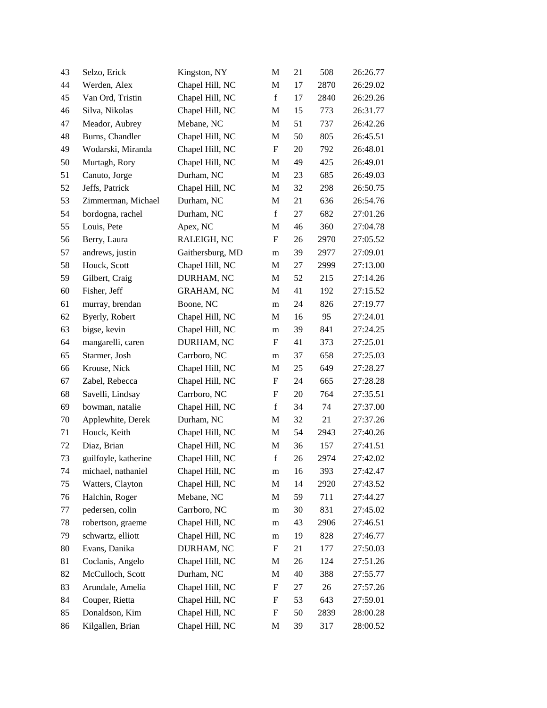| 43 | Selzo, Erick         | Kingston, NY      | M                         | 21 | 508  | 26:26.77 |
|----|----------------------|-------------------|---------------------------|----|------|----------|
| 44 | Werden, Alex         | Chapel Hill, NC   | M                         | 17 | 2870 | 26:29.02 |
| 45 | Van Ord, Tristin     | Chapel Hill, NC   | $\mathbf f$               | 17 | 2840 | 26:29.26 |
| 46 | Silva, Nikolas       | Chapel Hill, NC   | M                         | 15 | 773  | 26:31.77 |
| 47 | Meador, Aubrey       | Mebane, NC        | $\mathbf M$               | 51 | 737  | 26:42.26 |
| 48 | Burns, Chandler      | Chapel Hill, NC   | M                         | 50 | 805  | 26:45.51 |
| 49 | Wodarski, Miranda    | Chapel Hill, NC   | $\boldsymbol{\mathrm{F}}$ | 20 | 792  | 26:48.01 |
| 50 | Murtagh, Rory        | Chapel Hill, NC   | M                         | 49 | 425  | 26:49.01 |
| 51 | Canuto, Jorge        | Durham, NC        | M                         | 23 | 685  | 26:49.03 |
| 52 | Jeffs, Patrick       | Chapel Hill, NC   | M                         | 32 | 298  | 26:50.75 |
| 53 | Zimmerman, Michael   | Durham, NC        | M                         | 21 | 636  | 26:54.76 |
| 54 | bordogna, rachel     | Durham, NC        | $\mathbf f$               | 27 | 682  | 27:01.26 |
| 55 | Louis, Pete          | Apex, NC          | M                         | 46 | 360  | 27:04.78 |
| 56 | Berry, Laura         | RALEIGH, NC       | F                         | 26 | 2970 | 27:05.52 |
| 57 | andrews, justin      | Gaithersburg, MD  | m                         | 39 | 2977 | 27:09.01 |
| 58 | Houck, Scott         | Chapel Hill, NC   | M                         | 27 | 2999 | 27:13.00 |
| 59 | Gilbert, Craig       | DURHAM, NC        | M                         | 52 | 215  | 27:14.26 |
| 60 | Fisher, Jeff         | <b>GRAHAM, NC</b> | M                         | 41 | 192  | 27:15.52 |
| 61 | murray, brendan      | Boone, NC         | m                         | 24 | 826  | 27:19.77 |
| 62 | Byerly, Robert       | Chapel Hill, NC   | M                         | 16 | 95   | 27:24.01 |
| 63 | bigse, kevin         | Chapel Hill, NC   | m                         | 39 | 841  | 27:24.25 |
| 64 | mangarelli, caren    | DURHAM, NC        | F                         | 41 | 373  | 27:25.01 |
| 65 | Starmer, Josh        | Carrboro, NC      | m                         | 37 | 658  | 27:25.03 |
| 66 | Krouse, Nick         | Chapel Hill, NC   | M                         | 25 | 649  | 27:28.27 |
| 67 | Zabel, Rebecca       | Chapel Hill, NC   | F                         | 24 | 665  | 27:28.28 |
| 68 | Savelli, Lindsay     | Carrboro, NC      | F                         | 20 | 764  | 27:35.51 |
| 69 | bowman, natalie      | Chapel Hill, NC   | $\mathbf f$               | 34 | 74   | 27:37.00 |
| 70 | Applewhite, Derek    | Durham, NC        | M                         | 32 | 21   | 27:37.26 |
| 71 | Houck, Keith         | Chapel Hill, NC   | M                         | 54 | 2943 | 27:40.26 |
| 72 | Diaz, Brian          | Chapel Hill, NC   | M                         | 36 | 157  | 27:41.51 |
| 73 | guilfoyle, katherine | Chapel Hill, NC   | $\mathbf f$               | 26 | 2974 | 27:42.02 |
| 74 | michael, nathaniel   | Chapel Hill, NC   | m                         | 16 | 393  | 27:42.47 |
| 75 | Watters, Clayton     | Chapel Hill, NC   | M                         | 14 | 2920 | 27:43.52 |
| 76 | Halchin, Roger       | Mebane, NC        | M                         | 59 | 711  | 27:44.27 |
| 77 | pedersen, colin      | Carrboro, NC      | m                         | 30 | 831  | 27:45.02 |
| 78 | robertson, graeme    | Chapel Hill, NC   | m                         | 43 | 2906 | 27:46.51 |
| 79 | schwartz, elliott    | Chapel Hill, NC   | m                         | 19 | 828  | 27:46.77 |
| 80 | Evans, Danika        | DURHAM, NC        | $\boldsymbol{\mathrm{F}}$ | 21 | 177  | 27:50.03 |
| 81 | Coclanis, Angelo     | Chapel Hill, NC   | M                         | 26 | 124  | 27:51.26 |
| 82 | McCulloch, Scott     | Durham, NC        | M                         | 40 | 388  | 27:55.77 |
| 83 | Arundale, Amelia     | Chapel Hill, NC   | $\boldsymbol{\mathrm{F}}$ | 27 | 26   | 27:57.26 |
| 84 | Couper, Rietta       | Chapel Hill, NC   | $\boldsymbol{\mathrm{F}}$ | 53 | 643  | 27:59.01 |
| 85 | Donaldson, Kim       | Chapel Hill, NC   | F                         | 50 | 2839 | 28:00.28 |
| 86 | Kilgallen, Brian     | Chapel Hill, NC   | M                         | 39 | 317  | 28:00.52 |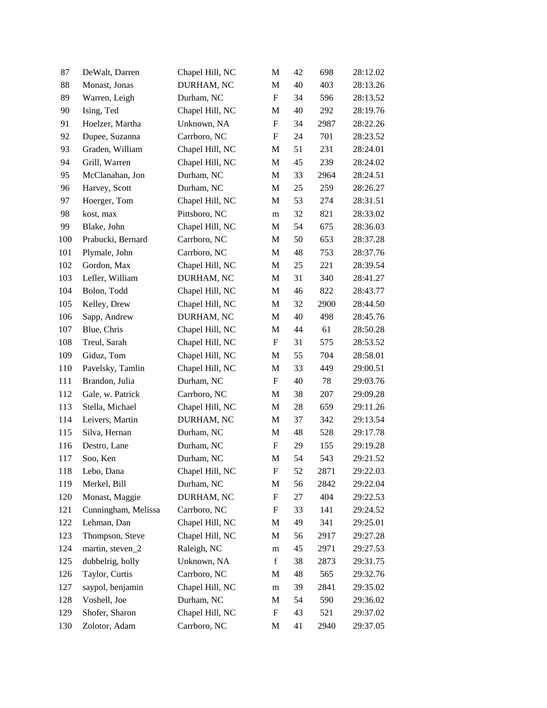| 87  | DeWalt, Darren      | Chapel Hill, NC | M                         | 42 | 698  | 28:12.02 |
|-----|---------------------|-----------------|---------------------------|----|------|----------|
| 88  | Monast, Jonas       | DURHAM, NC      | M                         | 40 | 403  | 28:13.26 |
| 89  | Warren, Leigh       | Durham, NC      | $\boldsymbol{\mathrm{F}}$ | 34 | 596  | 28:13.52 |
| 90  | Ising, Ted          | Chapel Hill, NC | M                         | 40 | 292  | 28:19.76 |
| 91  | Hoelzer, Martha     | Unknown, NA     | F                         | 34 | 2987 | 28:22.26 |
| 92  | Dupee, Suzanna      | Carrboro, NC    | ${\rm F}$                 | 24 | 701  | 28:23.52 |
| 93  | Graden, William     | Chapel Hill, NC | M                         | 51 | 231  | 28:24.01 |
| 94  | Grill, Warren       | Chapel Hill, NC | M                         | 45 | 239  | 28:24.02 |
| 95  | McClanahan, Jon     | Durham, NC      | M                         | 33 | 2964 | 28:24.51 |
| 96  | Harvey, Scott       | Durham, NC      | M                         | 25 | 259  | 28:26.27 |
| 97  | Hoerger, Tom        | Chapel Hill, NC | M                         | 53 | 274  | 28:31.51 |
| 98  | kost, max           | Pittsboro, NC   | m                         | 32 | 821  | 28:33.02 |
| 99  | Blake, John         | Chapel Hill, NC | M                         | 54 | 675  | 28:36.03 |
| 100 | Prabucki, Bernard   | Carrboro, NC    | M                         | 50 | 653  | 28:37.28 |
| 101 | Plymale, John       | Carrboro, NC    | M                         | 48 | 753  | 28:37.76 |
| 102 | Gordon, Max         | Chapel Hill, NC | M                         | 25 | 221  | 28:39.54 |
| 103 | Lefler, William     | DURHAM, NC      | M                         | 31 | 340  | 28:41.27 |
| 104 | Bolon, Todd         | Chapel Hill, NC | M                         | 46 | 822  | 28:43.77 |
| 105 | Kelley, Drew        | Chapel Hill, NC | M                         | 32 | 2900 | 28:44.50 |
| 106 | Sapp, Andrew        | DURHAM, NC      | M                         | 40 | 498  | 28:45.76 |
| 107 | Blue, Chris         | Chapel Hill, NC | M                         | 44 | 61   | 28:50.28 |
| 108 | Treul, Sarah        | Chapel Hill, NC | F                         | 31 | 575  | 28:53.52 |
| 109 | Giduz, Tom          | Chapel Hill, NC | M                         | 55 | 704  | 28:58.01 |
| 110 | Pavelsky, Tamlin    | Chapel Hill, NC | M                         | 33 | 449  | 29:00.51 |
| 111 | Brandon, Julia      | Durham, NC      | $\mathbf F$               | 40 | 78   | 29:03.76 |
| 112 | Gale, w. Patrick    | Carrboro, NC    | M                         | 38 | 207  | 29:09.28 |
| 113 | Stella, Michael     | Chapel Hill, NC | M                         | 28 | 659  | 29:11.26 |
| 114 | Leivers, Martin     | DURHAM, NC      | M                         | 37 | 342  | 29:13.54 |
| 115 | Silva, Hernan       | Durham, NC      | M                         | 48 | 528  | 29:17.78 |
| 116 | Destro, Lane        | Durham, NC      | $\boldsymbol{\mathrm{F}}$ | 29 | 155  | 29:19.28 |
| 117 | Soo, Ken            | Durham, NC      | M                         | 54 | 543  | 29:21.52 |
| 118 | Lebo, Dana          | Chapel Hill, NC | F                         | 52 | 2871 | 29:22.03 |
| 119 | Merkel, Bill        | Durham, NC      | M                         | 56 | 2842 | 29:22.04 |
| 120 | Monast, Maggie      | DURHAM, NC      | ${\rm F}$                 | 27 | 404  | 29:22.53 |
| 121 | Cunningham, Melissa | Carrboro, NC    | F                         | 33 | 141  | 29:24.52 |
| 122 | Lehman, Dan         | Chapel Hill, NC | M                         | 49 | 341  | 29:25.01 |
| 123 | Thompson, Steve     | Chapel Hill, NC | M                         | 56 | 2917 | 29:27.28 |
| 124 | martin, steven_2    | Raleigh, NC     | m                         | 45 | 2971 | 29:27.53 |
| 125 | dubbelrig, holly    | Unknown, NA     | $\mathbf f$               | 38 | 2873 | 29:31.75 |
| 126 | Taylor, Curtis      | Carrboro, NC    | M                         | 48 | 565  | 29:32.76 |
| 127 | saypol, benjamin    | Chapel Hill, NC | m                         | 39 | 2841 | 29:35.02 |
| 128 | Voshell, Joe        | Durham, NC      | M                         | 54 | 590  | 29:36.02 |
| 129 | Shofer, Sharon      | Chapel Hill, NC | ${\rm F}$                 | 43 | 521  | 29:37.02 |
| 130 | Zolotor, Adam       | Carrboro, NC    | M                         | 41 | 2940 | 29:37.05 |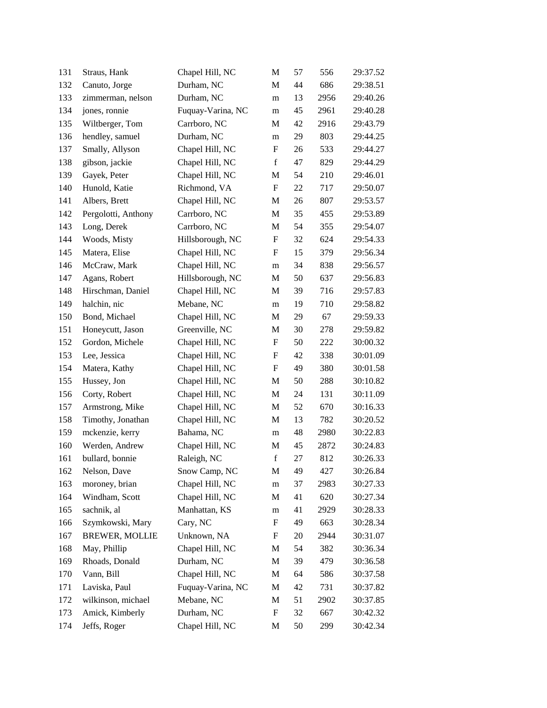| 131 | Straus, Hank          | Chapel Hill, NC   | M           | 57 | 556  | 29:37.52 |
|-----|-----------------------|-------------------|-------------|----|------|----------|
| 132 | Canuto, Jorge         | Durham, NC        | M           | 44 | 686  | 29:38.51 |
| 133 | zimmerman, nelson     | Durham, NC        | m           | 13 | 2956 | 29:40.26 |
| 134 | jones, ronnie         | Fuquay-Varina, NC | m           | 45 | 2961 | 29:40.28 |
| 135 | Wiltberger, Tom       | Carrboro, NC      | M           | 42 | 2916 | 29:43.79 |
| 136 | hendley, samuel       | Durham, NC        | m           | 29 | 803  | 29:44.25 |
| 137 | Smally, Allyson       | Chapel Hill, NC   | F           | 26 | 533  | 29:44.27 |
| 138 | gibson, jackie        | Chapel Hill, NC   | $\mathbf f$ | 47 | 829  | 29:44.29 |
| 139 | Gayek, Peter          | Chapel Hill, NC   | M           | 54 | 210  | 29:46.01 |
| 140 | Hunold, Katie         | Richmond, VA      | F           | 22 | 717  | 29:50.07 |
| 141 | Albers, Brett         | Chapel Hill, NC   | M           | 26 | 807  | 29:53.57 |
| 142 | Pergolotti, Anthony   | Carrboro, NC      | M           | 35 | 455  | 29:53.89 |
| 143 | Long, Derek           | Carrboro, NC      | M           | 54 | 355  | 29:54.07 |
| 144 | Woods, Misty          | Hillsborough, NC  | ${\rm F}$   | 32 | 624  | 29:54.33 |
| 145 | Matera, Elise         | Chapel Hill, NC   | ${\rm F}$   | 15 | 379  | 29:56.34 |
| 146 | McCraw, Mark          | Chapel Hill, NC   | m           | 34 | 838  | 29:56.57 |
| 147 | Agans, Robert         | Hillsborough, NC  | M           | 50 | 637  | 29:56.83 |
| 148 | Hirschman, Daniel     | Chapel Hill, NC   | M           | 39 | 716  | 29:57.83 |
| 149 | halchin, nic          | Mebane, NC        | m           | 19 | 710  | 29:58.82 |
| 150 | Bond, Michael         | Chapel Hill, NC   | M           | 29 | 67   | 29:59.33 |
| 151 | Honeycutt, Jason      | Greenville, NC    | M           | 30 | 278  | 29:59.82 |
| 152 | Gordon, Michele       | Chapel Hill, NC   | F           | 50 | 222  | 30:00.32 |
| 153 | Lee, Jessica          | Chapel Hill, NC   | ${\rm F}$   | 42 | 338  | 30:01.09 |
| 154 | Matera, Kathy         | Chapel Hill, NC   | F           | 49 | 380  | 30:01.58 |
| 155 | Hussey, Jon           | Chapel Hill, NC   | M           | 50 | 288  | 30:10.82 |
| 156 | Corty, Robert         | Chapel Hill, NC   | M           | 24 | 131  | 30:11.09 |
| 157 | Armstrong, Mike       | Chapel Hill, NC   | M           | 52 | 670  | 30:16.33 |
| 158 | Timothy, Jonathan     | Chapel Hill, NC   | M           | 13 | 782  | 30:20.52 |
| 159 | mckenzie, kerry       | Bahama, NC        | m           | 48 | 2980 | 30:22.83 |
| 160 | Werden, Andrew        | Chapel Hill, NC   | M           | 45 | 2872 | 30:24.83 |
| 161 | bullard, bonnie       | Raleigh, NC       | $\mathbf f$ | 27 | 812  | 30:26.33 |
| 162 | Nelson, Dave          | Snow Camp, NC     | M           | 49 | 427  | 30:26.84 |
| 163 | moroney, brian        | Chapel Hill, NC   | m           | 37 | 2983 | 30:27.33 |
| 164 | Windham, Scott        | Chapel Hill, NC   | M           | 41 | 620  | 30:27.34 |
| 165 | sachnik, al           | Manhattan, KS     | m           | 41 | 2929 | 30:28.33 |
| 166 | Szymkowski, Mary      | Cary, NC          | ${\rm F}$   | 49 | 663  | 30:28.34 |
| 167 | <b>BREWER, MOLLIE</b> | Unknown, NA       | F           | 20 | 2944 | 30:31.07 |
| 168 | May, Phillip          | Chapel Hill, NC   | M           | 54 | 382  | 30:36.34 |
| 169 | Rhoads, Donald        | Durham, NC        | M           | 39 | 479  | 30:36.58 |
| 170 | Vann, Bill            | Chapel Hill, NC   | M           | 64 | 586  | 30:37.58 |
| 171 | Laviska, Paul         | Fuquay-Varina, NC | M           | 42 | 731  | 30:37.82 |
| 172 | wilkinson, michael    | Mebane, NC        | M           | 51 | 2902 | 30:37.85 |
| 173 | Amick, Kimberly       | Durham, NC        | F           | 32 | 667  | 30:42.32 |
| 174 | Jeffs, Roger          | Chapel Hill, NC   | M           | 50 | 299  | 30:42.34 |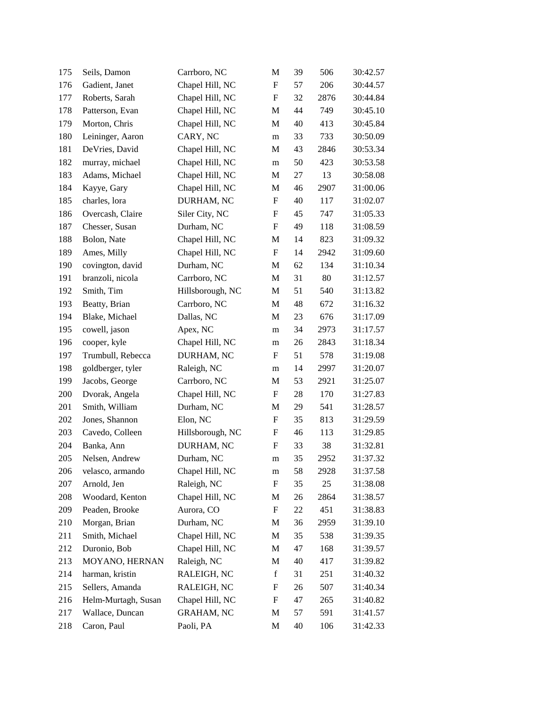| 175 | Seils, Damon        | Carrboro, NC      | M                         | 39 | 506  | 30:42.57 |
|-----|---------------------|-------------------|---------------------------|----|------|----------|
| 176 | Gadient, Janet      | Chapel Hill, NC   | $\boldsymbol{\mathrm{F}}$ | 57 | 206  | 30:44.57 |
| 177 | Roberts, Sarah      | Chapel Hill, NC   | $\boldsymbol{\mathrm{F}}$ | 32 | 2876 | 30:44.84 |
| 178 | Patterson, Evan     | Chapel Hill, NC   | M                         | 44 | 749  | 30:45.10 |
| 179 | Morton, Chris       | Chapel Hill, NC   | M                         | 40 | 413  | 30:45.84 |
| 180 | Leininger, Aaron    | CARY, NC          | m                         | 33 | 733  | 30:50.09 |
| 181 | DeVries, David      | Chapel Hill, NC   | M                         | 43 | 2846 | 30:53.34 |
| 182 | murray, michael     | Chapel Hill, NC   | m                         | 50 | 423  | 30:53.58 |
| 183 | Adams, Michael      | Chapel Hill, NC   | M                         | 27 | 13   | 30:58.08 |
| 184 | Kayye, Gary         | Chapel Hill, NC   | M                         | 46 | 2907 | 31:00.06 |
| 185 | charles, lora       | DURHAM, NC        | $\boldsymbol{\mathrm{F}}$ | 40 | 117  | 31:02.07 |
| 186 | Overcash, Claire    | Siler City, NC    | F                         | 45 | 747  | 31:05.33 |
| 187 | Chesser, Susan      | Durham, NC        | $\boldsymbol{\mathrm{F}}$ | 49 | 118  | 31:08.59 |
| 188 | Bolon, Nate         | Chapel Hill, NC   | M                         | 14 | 823  | 31:09.32 |
| 189 | Ames, Milly         | Chapel Hill, NC   | $\boldsymbol{\mathrm{F}}$ | 14 | 2942 | 31:09.60 |
| 190 | covington, david    | Durham, NC        | M                         | 62 | 134  | 31:10.34 |
| 191 | branzoli, nicola    | Carrboro, NC      | M                         | 31 | 80   | 31:12.57 |
| 192 | Smith, Tim          | Hillsborough, NC  | M                         | 51 | 540  | 31:13.82 |
| 193 | Beatty, Brian       | Carrboro, NC      | M                         | 48 | 672  | 31:16.32 |
| 194 | Blake, Michael      | Dallas, NC        | M                         | 23 | 676  | 31:17.09 |
| 195 | cowell, jason       | Apex, NC          | m                         | 34 | 2973 | 31:17.57 |
| 196 | cooper, kyle        | Chapel Hill, NC   | m                         | 26 | 2843 | 31:18.34 |
| 197 | Trumbull, Rebecca   | DURHAM, NC        | $\boldsymbol{\mathrm{F}}$ | 51 | 578  | 31:19.08 |
| 198 | goldberger, tyler   | Raleigh, NC       | m                         | 14 | 2997 | 31:20.07 |
| 199 | Jacobs, George      | Carrboro, NC      | M                         | 53 | 2921 | 31:25.07 |
| 200 | Dvorak, Angela      | Chapel Hill, NC   | $\boldsymbol{\mathrm{F}}$ | 28 | 170  | 31:27.83 |
| 201 | Smith, William      | Durham, NC        | M                         | 29 | 541  | 31:28.57 |
| 202 | Jones, Shannon      | Elon, NC          | $\boldsymbol{\mathrm{F}}$ | 35 | 813  | 31:29.59 |
| 203 | Cavedo, Colleen     | Hillsborough, NC  | $\boldsymbol{\mathrm{F}}$ | 46 | 113  | 31:29.85 |
| 204 | Banka, Ann          | DURHAM, NC        | F                         | 33 | 38   | 31:32.81 |
| 205 | Nelsen, Andrew      | Durham, NC        | m                         | 35 | 2952 | 31:37.32 |
| 206 | velasco, armando    | Chapel Hill, NC   | m                         | 58 | 2928 | 31:37.58 |
| 207 | Arnold, Jen         | Raleigh, NC       | $\boldsymbol{\mathrm{F}}$ | 35 | 25   | 31:38.08 |
| 208 | Woodard, Kenton     | Chapel Hill, NC   | M                         | 26 | 2864 | 31:38.57 |
| 209 | Peaden, Brooke      | Aurora, CO        | F                         | 22 | 451  | 31:38.83 |
| 210 | Morgan, Brian       | Durham, NC        | M                         | 36 | 2959 | 31:39.10 |
| 211 | Smith, Michael      | Chapel Hill, NC   | M                         | 35 | 538  | 31:39.35 |
| 212 | Duronio, Bob        | Chapel Hill, NC   | M                         | 47 | 168  | 31:39.57 |
| 213 | MOYANO, HERNAN      | Raleigh, NC       | M                         | 40 | 417  | 31:39.82 |
| 214 | harman, kristin     | RALEIGH, NC       | $\mathbf f$               | 31 | 251  | 31:40.32 |
| 215 | Sellers, Amanda     | RALEIGH, NC       | ${\rm F}$                 | 26 | 507  | 31:40.34 |
| 216 | Helm-Murtagh, Susan | Chapel Hill, NC   | F                         | 47 | 265  | 31:40.82 |
| 217 | Wallace, Duncan     | <b>GRAHAM, NC</b> | M                         | 57 | 591  | 31:41.57 |
| 218 | Caron, Paul         | Paoli, PA         | M                         | 40 | 106  | 31:42.33 |
|     |                     |                   |                           |    |      |          |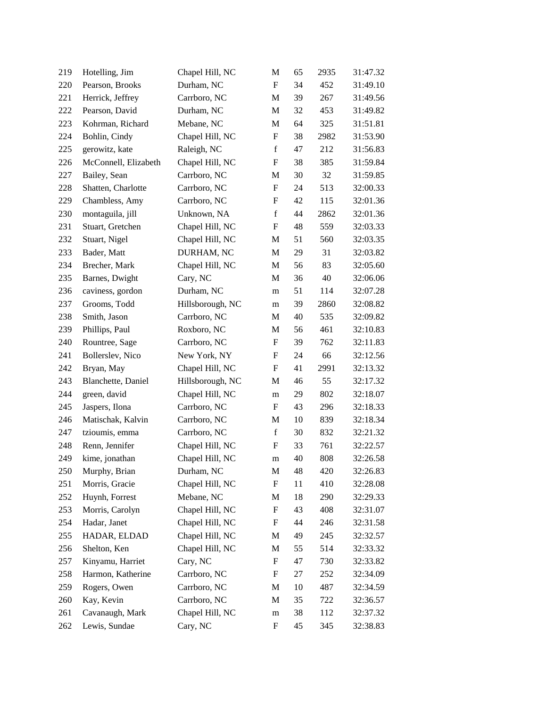| 219 | Hotelling, Jim       | Chapel Hill, NC  | M                         | 65 | 2935 | 31:47.32 |
|-----|----------------------|------------------|---------------------------|----|------|----------|
| 220 | Pearson, Brooks      | Durham, NC       | $\boldsymbol{\mathrm{F}}$ | 34 | 452  | 31:49.10 |
| 221 | Herrick, Jeffrey     | Carrboro, NC     | M                         | 39 | 267  | 31:49.56 |
| 222 | Pearson, David       | Durham, NC       | M                         | 32 | 453  | 31:49.82 |
| 223 | Kohrman, Richard     | Mebane, NC       | M                         | 64 | 325  | 31:51.81 |
| 224 | Bohlin, Cindy        | Chapel Hill, NC  | ${\bf F}$                 | 38 | 2982 | 31:53.90 |
| 225 | gerowitz, kate       | Raleigh, NC      | f                         | 47 | 212  | 31:56.83 |
| 226 | McConnell, Elizabeth | Chapel Hill, NC  | $\boldsymbol{\mathrm{F}}$ | 38 | 385  | 31:59.84 |
| 227 | Bailey, Sean         | Carrboro, NC     | M                         | 30 | 32   | 31:59.85 |
| 228 | Shatten, Charlotte   | Carrboro, NC     | $\boldsymbol{\mathrm{F}}$ | 24 | 513  | 32:00.33 |
| 229 | Chambless, Amy       | Carrboro, NC     | ${\rm F}$                 | 42 | 115  | 32:01.36 |
| 230 | montaguila, jill     | Unknown, NA      | $\mathbf f$               | 44 | 2862 | 32:01.36 |
| 231 | Stuart, Gretchen     | Chapel Hill, NC  | $\boldsymbol{\mathrm{F}}$ | 48 | 559  | 32:03.33 |
| 232 | Stuart, Nigel        | Chapel Hill, NC  | M                         | 51 | 560  | 32:03.35 |
| 233 | Bader, Matt          | DURHAM, NC       | M                         | 29 | 31   | 32:03.82 |
| 234 | Brecher, Mark        | Chapel Hill, NC  | M                         | 56 | 83   | 32:05.60 |
| 235 | Barnes, Dwight       | Cary, NC         | M                         | 36 | 40   | 32:06.06 |
| 236 | caviness, gordon     | Durham, NC       | m                         | 51 | 114  | 32:07.28 |
| 237 | Grooms, Todd         | Hillsborough, NC | m                         | 39 | 2860 | 32:08.82 |
| 238 | Smith, Jason         | Carrboro, NC     | M                         | 40 | 535  | 32:09.82 |
| 239 | Phillips, Paul       | Roxboro, NC      | M                         | 56 | 461  | 32:10.83 |
| 240 | Rountree, Sage       | Carrboro, NC     | F                         | 39 | 762  | 32:11.83 |
| 241 | Bollerslev, Nico     | New York, NY     | $\boldsymbol{\mathrm{F}}$ | 24 | 66   | 32:12.56 |
| 242 | Bryan, May           | Chapel Hill, NC  | $\boldsymbol{\mathrm{F}}$ | 41 | 2991 | 32:13.32 |
| 243 | Blanchette, Daniel   | Hillsborough, NC | M                         | 46 | 55   | 32:17.32 |
| 244 | green, david         | Chapel Hill, NC  | m                         | 29 | 802  | 32:18.07 |
| 245 | Jaspers, Ilona       | Carrboro, NC     | F                         | 43 | 296  | 32:18.33 |
| 246 | Matischak, Kalvin    | Carrboro, NC     | M                         | 10 | 839  | 32:18.34 |
| 247 | tzioumis, emma       | Carrboro, NC     | $\mathbf f$               | 30 | 832  | 32:21.32 |
| 248 | Renn, Jennifer       | Chapel Hill, NC  | $\boldsymbol{\mathrm{F}}$ | 33 | 761  | 32:22.57 |
| 249 | kime, jonathan       | Chapel Hill, NC  | m                         | 40 | 808  | 32:26.58 |
| 250 | Murphy, Brian        | Durham, NC       | M                         | 48 | 420  | 32:26.83 |
| 251 | Morris, Gracie       | Chapel Hill, NC  | $\boldsymbol{\mathrm{F}}$ | 11 | 410  | 32:28.08 |
| 252 | Huynh, Forrest       | Mebane, NC       | M                         | 18 | 290  | 32:29.33 |
| 253 | Morris, Carolyn      | Chapel Hill, NC  | F                         | 43 | 408  | 32:31.07 |
| 254 | Hadar, Janet         | Chapel Hill, NC  | $\boldsymbol{\mathrm{F}}$ | 44 | 246  | 32:31.58 |
| 255 | HADAR, ELDAD         | Chapel Hill, NC  | M                         | 49 | 245  | 32:32.57 |
| 256 | Shelton, Ken         | Chapel Hill, NC  | M                         | 55 | 514  | 32:33.32 |
| 257 | Kinyamu, Harriet     | Cary, NC         | $\boldsymbol{\mathrm{F}}$ | 47 | 730  | 32:33.82 |
| 258 | Harmon, Katherine    | Carrboro, NC     | F                         | 27 | 252  | 32:34.09 |
| 259 | Rogers, Owen         | Carrboro, NC     | M                         | 10 | 487  | 32:34.59 |
| 260 | Kay, Kevin           | Carrboro, NC     | M                         | 35 | 722  | 32:36.57 |
| 261 | Cavanaugh, Mark      | Chapel Hill, NC  | m                         | 38 | 112  | 32:37.32 |
| 262 | Lewis, Sundae        | Cary, NC         | F                         | 45 | 345  | 32:38.83 |
|     |                      |                  |                           |    |      |          |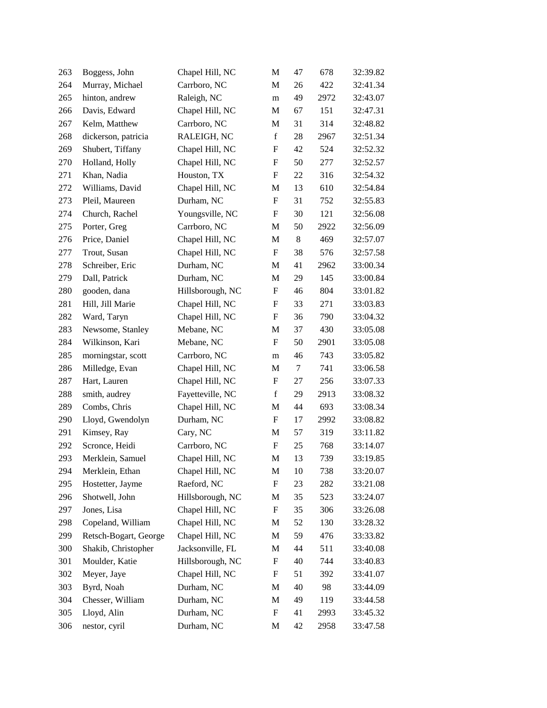| 263 | Boggess, John         | Chapel Hill, NC  | M                         | 47     | 678  | 32:39.82 |
|-----|-----------------------|------------------|---------------------------|--------|------|----------|
| 264 | Murray, Michael       | Carrboro, NC     | M                         | 26     | 422  | 32:41.34 |
| 265 | hinton, andrew        | Raleigh, NC      | m                         | 49     | 2972 | 32:43.07 |
| 266 | Davis, Edward         | Chapel Hill, NC  | M                         | 67     | 151  | 32:47.31 |
| 267 | Kelm, Matthew         | Carrboro, NC     | M                         | 31     | 314  | 32:48.82 |
| 268 | dickerson, patricia   | RALEIGH, NC      | $\mathbf f$               | 28     | 2967 | 32:51.34 |
| 269 | Shubert, Tiffany      | Chapel Hill, NC  | F                         | 42     | 524  | 32:52.32 |
| 270 | Holland, Holly        | Chapel Hill, NC  | ${\rm F}$                 | 50     | 277  | 32:52.57 |
| 271 | Khan, Nadia           | Houston, TX      | $\boldsymbol{\mathrm{F}}$ | 22     | 316  | 32:54.32 |
| 272 | Williams, David       | Chapel Hill, NC  | M                         | 13     | 610  | 32:54.84 |
| 273 | Pleil, Maureen        | Durham, NC       | $\boldsymbol{\mathrm{F}}$ | 31     | 752  | 32:55.83 |
| 274 | Church, Rachel        | Youngsville, NC  | F                         | 30     | 121  | 32:56.08 |
| 275 | Porter, Greg          | Carrboro, NC     | M                         | 50     | 2922 | 32:56.09 |
| 276 | Price, Daniel         | Chapel Hill, NC  | M                         | 8      | 469  | 32:57.07 |
| 277 | Trout, Susan          | Chapel Hill, NC  | ${\bf F}$                 | 38     | 576  | 32:57.58 |
| 278 | Schreiber, Eric       | Durham, NC       | M                         | 41     | 2962 | 33:00.34 |
| 279 | Dall, Patrick         | Durham, NC       | M                         | 29     | 145  | 33:00.84 |
| 280 | gooden, dana          | Hillsborough, NC | $\boldsymbol{\mathrm{F}}$ | 46     | 804  | 33:01.82 |
| 281 | Hill, Jill Marie      | Chapel Hill, NC  | $\boldsymbol{\mathrm{F}}$ | 33     | 271  | 33:03.83 |
| 282 | Ward, Taryn           | Chapel Hill, NC  | F                         | 36     | 790  | 33:04.32 |
| 283 | Newsome, Stanley      | Mebane, NC       | M                         | 37     | 430  | 33:05.08 |
| 284 | Wilkinson, Kari       | Mebane, NC       | F                         | 50     | 2901 | 33:05.08 |
| 285 | morningstar, scott    | Carrboro, NC     | m                         | 46     | 743  | 33:05.82 |
| 286 | Milledge, Evan        | Chapel Hill, NC  | M                         | $\tau$ | 741  | 33:06.58 |
| 287 | Hart, Lauren          | Chapel Hill, NC  | $\boldsymbol{\mathrm{F}}$ | 27     | 256  | 33:07.33 |
| 288 | smith, audrey         | Fayetteville, NC | $\mathbf f$               | 29     | 2913 | 33:08.32 |
| 289 | Combs, Chris          | Chapel Hill, NC  | M                         | 44     | 693  | 33:08.34 |
| 290 | Lloyd, Gwendolyn      | Durham, NC       | $\boldsymbol{\mathrm{F}}$ | 17     | 2992 | 33:08.82 |
| 291 | Kimsey, Ray           | Cary, NC         | M                         | 57     | 319  | 33:11.82 |
| 292 | Scronce, Heidi        | Carrboro, NC     | $\boldsymbol{\mathrm{F}}$ | 25     | 768  | 33:14.07 |
| 293 | Merklein, Samuel      | Chapel Hill, NC  | M                         | 13     | 739  | 33:19.85 |
| 294 | Merklein, Ethan       | Chapel Hill, NC  | M                         | 10     | 738  | 33:20.07 |
| 295 | Hostetter, Jayme      | Raeford, NC      | ${\bf F}$                 | 23     | 282  | 33:21.08 |
| 296 | Shotwell, John        | Hillsborough, NC | M                         | 35     | 523  | 33:24.07 |
| 297 | Jones, Lisa           | Chapel Hill, NC  | ${\bf F}$                 | 35     | 306  | 33:26.08 |
| 298 | Copeland, William     | Chapel Hill, NC  | M                         | 52     | 130  | 33:28.32 |
| 299 | Retsch-Bogart, George | Chapel Hill, NC  | M                         | 59     | 476  | 33:33.82 |
| 300 | Shakib, Christopher   | Jacksonville, FL | M                         | 44     | 511  | 33:40.08 |
| 301 | Moulder, Katie        | Hillsborough, NC | $\boldsymbol{\mathrm{F}}$ | 40     | 744  | 33:40.83 |
| 302 | Meyer, Jaye           | Chapel Hill, NC  | F                         | 51     | 392  | 33:41.07 |
| 303 | Byrd, Noah            | Durham, NC       | M                         | 40     | 98   | 33:44.09 |
| 304 | Chesser, William      | Durham, NC       | M                         | 49     | 119  | 33:44.58 |
| 305 | Lloyd, Alin           | Durham, NC       | $\boldsymbol{\mathrm{F}}$ | 41     | 2993 | 33:45.32 |
| 306 | nestor, cyril         | Durham, NC       | M                         | 42     | 2958 | 33:47.58 |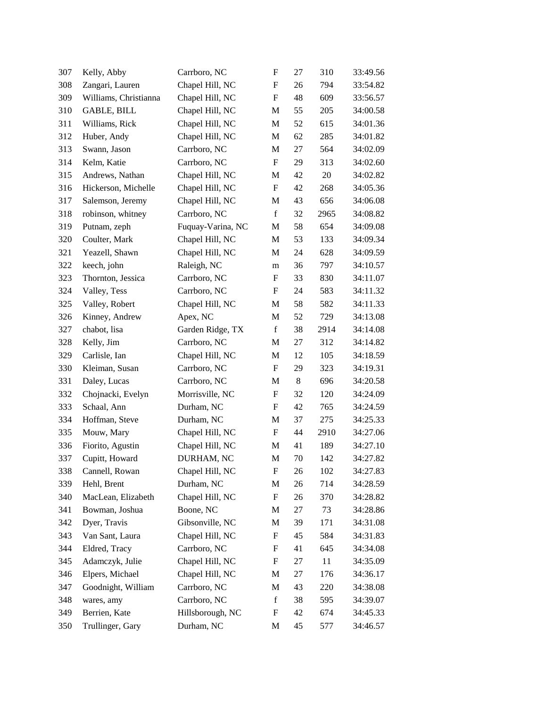| 307 | Kelly, Abby           | Carrboro, NC      | F                         | 27    | 310  | 33:49.56 |
|-----|-----------------------|-------------------|---------------------------|-------|------|----------|
| 308 | Zangari, Lauren       | Chapel Hill, NC   | F                         | 26    | 794  | 33:54.82 |
| 309 | Williams, Christianna | Chapel Hill, NC   | $\boldsymbol{\mathrm{F}}$ | 48    | 609  | 33:56.57 |
| 310 | GABLE, BILL           | Chapel Hill, NC   | M                         | 55    | 205  | 34:00.58 |
| 311 | Williams, Rick        | Chapel Hill, NC   | M                         | 52    | 615  | 34:01.36 |
| 312 | Huber, Andy           | Chapel Hill, NC   | M                         | 62    | 285  | 34:01.82 |
| 313 | Swann, Jason          | Carrboro, NC      | M                         | 27    | 564  | 34:02.09 |
| 314 | Kelm, Katie           | Carrboro, NC      | $\boldsymbol{\mathrm{F}}$ | 29    | 313  | 34:02.60 |
| 315 | Andrews, Nathan       | Chapel Hill, NC   | M                         | 42    | 20   | 34:02.82 |
| 316 | Hickerson, Michelle   | Chapel Hill, NC   | F                         | 42    | 268  | 34:05.36 |
| 317 | Salemson, Jeremy      | Chapel Hill, NC   | M                         | 43    | 656  | 34:06.08 |
| 318 | robinson, whitney     | Carrboro, NC      | f                         | 32    | 2965 | 34:08.82 |
| 319 | Putnam, zeph          | Fuquay-Varina, NC | M                         | 58    | 654  | 34:09.08 |
| 320 | Coulter, Mark         | Chapel Hill, NC   | M                         | 53    | 133  | 34:09.34 |
| 321 | Yeazell, Shawn        | Chapel Hill, NC   | M                         | 24    | 628  | 34:09.59 |
| 322 | keech, john           | Raleigh, NC       | m                         | 36    | 797  | 34:10.57 |
| 323 | Thornton, Jessica     | Carrboro, NC      | F                         | 33    | 830  | 34:11.07 |
| 324 | Valley, Tess          | Carrboro, NC      | F                         | 24    | 583  | 34:11.32 |
| 325 | Valley, Robert        | Chapel Hill, NC   | M                         | 58    | 582  | 34:11.33 |
| 326 | Kinney, Andrew        | Apex, NC          | M                         | 52    | 729  | 34:13.08 |
| 327 | chabot, lisa          | Garden Ridge, TX  | $\mathbf f$               | 38    | 2914 | 34:14.08 |
| 328 | Kelly, Jim            | Carrboro, NC      | M                         | 27    | 312  | 34:14.82 |
| 329 | Carlisle, Ian         | Chapel Hill, NC   | M                         | 12    | 105  | 34:18.59 |
| 330 | Kleiman, Susan        | Carrboro, NC      | $\boldsymbol{\mathrm{F}}$ | 29    | 323  | 34:19.31 |
| 331 | Daley, Lucas          | Carrboro, NC      | M                         | $8\,$ | 696  | 34:20.58 |
| 332 | Chojnacki, Evelyn     | Morrisville, NC   | F                         | 32    | 120  | 34:24.09 |
| 333 | Schaal, Ann           | Durham, NC        | F                         | 42    | 765  | 34:24.59 |
| 334 | Hoffman, Steve        | Durham, NC        | M                         | 37    | 275  | 34:25.33 |
| 335 | Mouw, Mary            | Chapel Hill, NC   | $\boldsymbol{\mathrm{F}}$ | 44    | 2910 | 34:27.06 |
| 336 | Fiorito, Agustin      | Chapel Hill, NC   | M                         | 41    | 189  | 34:27.10 |
| 337 | Cupitt, Howard        | DURHAM, NC        | M                         | 70    | 142  | 34:27.82 |
| 338 | Cannell, Rowan        | Chapel Hill, NC   | F                         | 26    | 102  | 34:27.83 |
| 339 | Hehl, Brent           | Durham, NC        | M                         | 26    | 714  | 34:28.59 |
| 340 | MacLean, Elizabeth    | Chapel Hill, NC   | $\boldsymbol{\mathrm{F}}$ | 26    | 370  | 34:28.82 |
| 341 | Bowman, Joshua        | Boone, NC         | M                         | 27    | 73   | 34:28.86 |
| 342 | Dyer, Travis          | Gibsonville, NC   | M                         | 39    | 171  | 34:31.08 |
| 343 | Van Sant, Laura       | Chapel Hill, NC   | $\boldsymbol{\mathrm{F}}$ | 45    | 584  | 34:31.83 |
| 344 | Eldred, Tracy         | Carrboro, NC      | $\boldsymbol{F}$          | 41    | 645  | 34:34.08 |
| 345 | Adamczyk, Julie       | Chapel Hill, NC   | $\boldsymbol{F}$          | 27    | 11   | 34:35.09 |
| 346 | Elpers, Michael       | Chapel Hill, NC   | M                         | 27    | 176  | 34:36.17 |
| 347 | Goodnight, William    | Carrboro, NC      | M                         | 43    | 220  | 34:38.08 |
| 348 | wares, amy            | Carrboro, NC      | $\mathbf f$               | 38    | 595  | 34:39.07 |
| 349 | Berrien, Kate         | Hillsborough, NC  | $\boldsymbol{F}$          | 42    | 674  | 34:45.33 |
| 350 | Trullinger, Gary      | Durham, NC        | M                         | 45    | 577  | 34:46.57 |
|     |                       |                   |                           |       |      |          |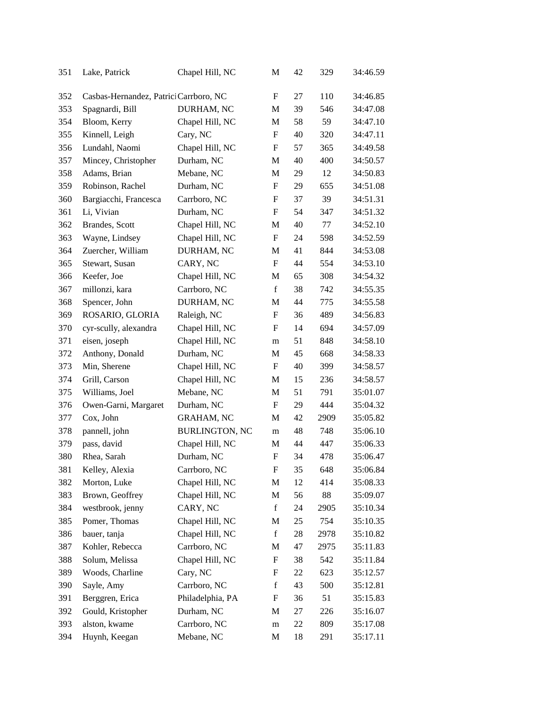| 351 | Lake, Patrick                          | Chapel Hill, NC       | M                         | 42 | 329  | 34:46.59 |
|-----|----------------------------------------|-----------------------|---------------------------|----|------|----------|
| 352 | Casbas-Hernandez, Patrici Carrboro, NC |                       | F                         | 27 | 110  | 34:46.85 |
| 353 | Spagnardi, Bill                        | DURHAM, NC            | M                         | 39 | 546  | 34:47.08 |
| 354 | Bloom, Kerry                           | Chapel Hill, NC       | M                         | 58 | 59   | 34:47.10 |
| 355 | Kinnell, Leigh                         | Cary, NC              | $\boldsymbol{\mathrm{F}}$ | 40 | 320  | 34:47.11 |
| 356 | Lundahl, Naomi                         | Chapel Hill, NC       | $\boldsymbol{\mathrm{F}}$ | 57 | 365  | 34:49.58 |
| 357 | Mincey, Christopher                    | Durham, NC            | M                         | 40 | 400  | 34:50.57 |
| 358 | Adams, Brian                           | Mebane, NC            | M                         | 29 | 12   | 34:50.83 |
| 359 | Robinson, Rachel                       | Durham, NC            | F                         | 29 | 655  | 34:51.08 |
| 360 | Bargiacchi, Francesca                  | Carrboro, NC          | F                         | 37 | 39   | 34:51.31 |
| 361 | Li, Vivian                             | Durham, NC            | $\boldsymbol{\mathrm{F}}$ | 54 | 347  | 34:51.32 |
| 362 | Brandes, Scott                         | Chapel Hill, NC       | M                         | 40 | 77   | 34:52.10 |
| 363 | Wayne, Lindsey                         | Chapel Hill, NC       | $\mathbf F$               | 24 | 598  | 34:52.59 |
| 364 | Zuercher, William                      | DURHAM, NC            | M                         | 41 | 844  | 34:53.08 |
| 365 | Stewart, Susan                         | CARY, NC              | F                         | 44 | 554  | 34:53.10 |
| 366 | Keefer, Joe                            | Chapel Hill, NC       | M                         | 65 | 308  | 34:54.32 |
| 367 | millonzi, kara                         | Carrboro, NC          | $\mathbf f$               | 38 | 742  | 34:55.35 |
| 368 | Spencer, John                          | DURHAM, NC            | M                         | 44 | 775  | 34:55.58 |
| 369 | ROSARIO, GLORIA                        | Raleigh, NC           | F                         | 36 | 489  | 34:56.83 |
| 370 | cyr-scully, alexandra                  | Chapel Hill, NC       | F                         | 14 | 694  | 34:57.09 |
| 371 | eisen, joseph                          | Chapel Hill, NC       | m                         | 51 | 848  | 34:58.10 |
| 372 | Anthony, Donald                        | Durham, NC            | M                         | 45 | 668  | 34:58.33 |
| 373 | Min, Sherene                           | Chapel Hill, NC       | $\mathbf F$               | 40 | 399  | 34:58.57 |
| 374 | Grill, Carson                          | Chapel Hill, NC       | M                         | 15 | 236  | 34:58.57 |
| 375 | Williams, Joel                         | Mebane, NC            | M                         | 51 | 791  | 35:01.07 |
| 376 | Owen-Garni, Margaret                   | Durham, NC            | $\mathbf F$               | 29 | 444  | 35:04.32 |
| 377 | Cox, John                              | <b>GRAHAM, NC</b>     | M                         | 42 | 2909 | 35:05.82 |
| 378 | pannell, john                          | <b>BURLINGTON, NC</b> | m                         | 48 | 748  | 35:06.10 |
| 379 | pass, david                            | Chapel Hill, NC       | M                         | 44 | 447  | 35:06.33 |
| 380 | Rhea, Sarah                            | Durham, NC            | $\boldsymbol{\mathrm{F}}$ | 34 | 478  | 35:06.47 |
| 381 | Kelley, Alexia                         | Carrboro, NC          | $\boldsymbol{\mathrm{F}}$ | 35 | 648  | 35:06.84 |
| 382 | Morton, Luke                           | Chapel Hill, NC       | M                         | 12 | 414  | 35:08.33 |
| 383 | Brown, Geoffrey                        | Chapel Hill, NC       | M                         | 56 | 88   | 35:09.07 |
| 384 | westbrook, jenny                       | CARY, NC              | $\mathbf f$               | 24 | 2905 | 35:10.34 |
| 385 | Pomer, Thomas                          | Chapel Hill, NC       | M                         | 25 | 754  | 35:10.35 |
| 386 | bauer, tanja                           | Chapel Hill, NC       | $\mathbf f$               | 28 | 2978 | 35:10.82 |
| 387 | Kohler, Rebecca                        | Carrboro, NC          | M                         | 47 | 2975 | 35:11.83 |
| 388 | Solum, Melissa                         | Chapel Hill, NC       | ${\rm F}$                 | 38 | 542  | 35:11.84 |
| 389 | Woods, Charline                        | Cary, NC              | F                         | 22 | 623  | 35:12.57 |
| 390 | Sayle, Amy                             | Carrboro, NC          | $\mathbf f$               | 43 | 500  | 35:12.81 |
| 391 | Berggren, Erica                        | Philadelphia, PA      | ${\rm F}$                 | 36 | 51   | 35:15.83 |
| 392 | Gould, Kristopher                      | Durham, NC            | M                         | 27 | 226  | 35:16.07 |
| 393 | alston, kwame                          | Carrboro, NC          | m                         | 22 | 809  | 35:17.08 |
| 394 | Huynh, Keegan                          | Mebane, NC            | M                         | 18 | 291  | 35:17.11 |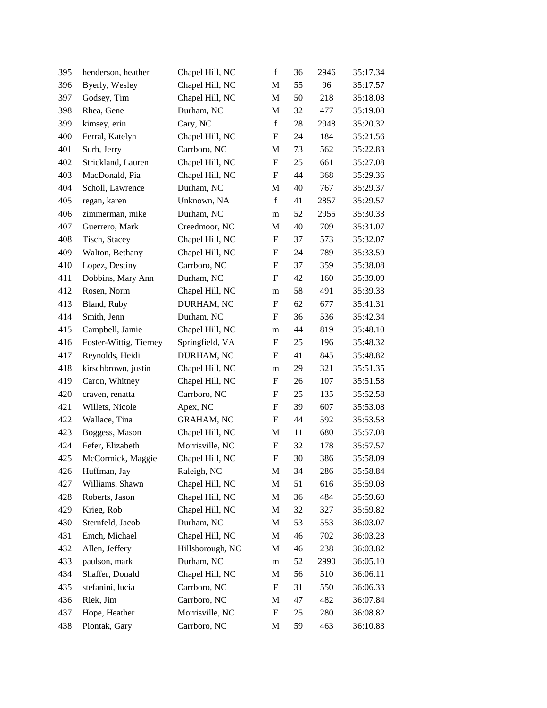| 395 | henderson, heather     | Chapel Hill, NC   | $\mathbf f$               | 36 | 2946 | 35:17.34 |
|-----|------------------------|-------------------|---------------------------|----|------|----------|
| 396 | Byerly, Wesley         | Chapel Hill, NC   | M                         | 55 | 96   | 35:17.57 |
| 397 | Godsey, Tim            | Chapel Hill, NC   | M                         | 50 | 218  | 35:18.08 |
| 398 | Rhea, Gene             | Durham, NC        | M                         | 32 | 477  | 35:19.08 |
| 399 | kimsey, erin           | Cary, NC          | $\mathbf f$               | 28 | 2948 | 35:20.32 |
| 400 | Ferral, Katelyn        | Chapel Hill, NC   | $\boldsymbol{\mathrm{F}}$ | 24 | 184  | 35:21.56 |
| 401 | Surh, Jerry            | Carrboro, NC      | M                         | 73 | 562  | 35:22.83 |
| 402 | Strickland, Lauren     | Chapel Hill, NC   | $\boldsymbol{\mathrm{F}}$ | 25 | 661  | 35:27.08 |
| 403 | MacDonald, Pia         | Chapel Hill, NC   | F                         | 44 | 368  | 35:29.36 |
| 404 | Scholl, Lawrence       | Durham, NC        | M                         | 40 | 767  | 35:29.37 |
| 405 | regan, karen           | Unknown, NA       | $\mathbf f$               | 41 | 2857 | 35:29.57 |
| 406 | zimmerman, mike        | Durham, NC        | m                         | 52 | 2955 | 35:30.33 |
| 407 | Guerrero, Mark         | Creedmoor, NC     | M                         | 40 | 709  | 35:31.07 |
| 408 | Tisch, Stacey          | Chapel Hill, NC   | $\boldsymbol{\mathrm{F}}$ | 37 | 573  | 35:32.07 |
| 409 | Walton, Bethany        | Chapel Hill, NC   | F                         | 24 | 789  | 35:33.59 |
| 410 | Lopez, Destiny         | Carrboro, NC      | $\boldsymbol{\mathrm{F}}$ | 37 | 359  | 35:38.08 |
| 411 | Dobbins, Mary Ann      | Durham, NC        | F                         | 42 | 160  | 35:39.09 |
| 412 | Rosen, Norm            | Chapel Hill, NC   | m                         | 58 | 491  | 35:39.33 |
| 413 | Bland, Ruby            | DURHAM, NC        | F                         | 62 | 677  | 35:41.31 |
| 414 | Smith, Jenn            | Durham, NC        | F                         | 36 | 536  | 35:42.34 |
| 415 | Campbell, Jamie        | Chapel Hill, NC   | m                         | 44 | 819  | 35:48.10 |
| 416 | Foster-Wittig, Tierney | Springfield, VA   | F                         | 25 | 196  | 35:48.32 |
| 417 | Reynolds, Heidi        | DURHAM, NC        | F                         | 41 | 845  | 35:48.82 |
| 418 | kirschbrown, justin    | Chapel Hill, NC   | m                         | 29 | 321  | 35:51.35 |
| 419 | Caron, Whitney         | Chapel Hill, NC   | F                         | 26 | 107  | 35:51.58 |
| 420 | craven, renatta        | Carrboro, NC      | F                         | 25 | 135  | 35:52.58 |
| 421 | Willets, Nicole        | Apex, NC          | F                         | 39 | 607  | 35:53.08 |
| 422 | Wallace, Tina          | <b>GRAHAM, NC</b> | F                         | 44 | 592  | 35:53.58 |
| 423 | Boggess, Mason         | Chapel Hill, NC   | M                         | 11 | 680  | 35:57.08 |
| 424 | Fefer, Elizabeth       | Morrisville, NC   | $\boldsymbol{F}$          | 32 | 178  | 35:57.57 |
| 425 | McCormick, Maggie      | Chapel Hill, NC   | $\boldsymbol{\mathrm{F}}$ | 30 | 386  | 35:58.09 |
| 426 | Huffman, Jay           | Raleigh, NC       | M                         | 34 | 286  | 35:58.84 |
| 427 | Williams, Shawn        | Chapel Hill, NC   | M                         | 51 | 616  | 35:59.08 |
| 428 | Roberts, Jason         | Chapel Hill, NC   | M                         | 36 | 484  | 35:59.60 |
| 429 | Krieg, Rob             | Chapel Hill, NC   | M                         | 32 | 327  | 35:59.82 |
| 430 | Sternfeld, Jacob       | Durham, NC        | M                         | 53 | 553  | 36:03.07 |
| 431 | Emch, Michael          | Chapel Hill, NC   | M                         | 46 | 702  | 36:03.28 |
| 432 | Allen, Jeffery         | Hillsborough, NC  | M                         | 46 | 238  | 36:03.82 |
| 433 | paulson, mark          | Durham, NC        | m                         | 52 | 2990 | 36:05.10 |
| 434 | Shaffer, Donald        | Chapel Hill, NC   | M                         | 56 | 510  | 36:06.11 |
| 435 | stefanini, lucia       | Carrboro, NC      | ${\bf F}$                 | 31 | 550  | 36:06.33 |
| 436 | Riek, Jim              | Carrboro, NC      | M                         | 47 | 482  | 36:07.84 |
| 437 | Hope, Heather          | Morrisville, NC   | F                         | 25 | 280  | 36:08.82 |
| 438 | Piontak, Gary          | Carrboro, NC      | M                         | 59 | 463  | 36:10.83 |
|     |                        |                   |                           |    |      |          |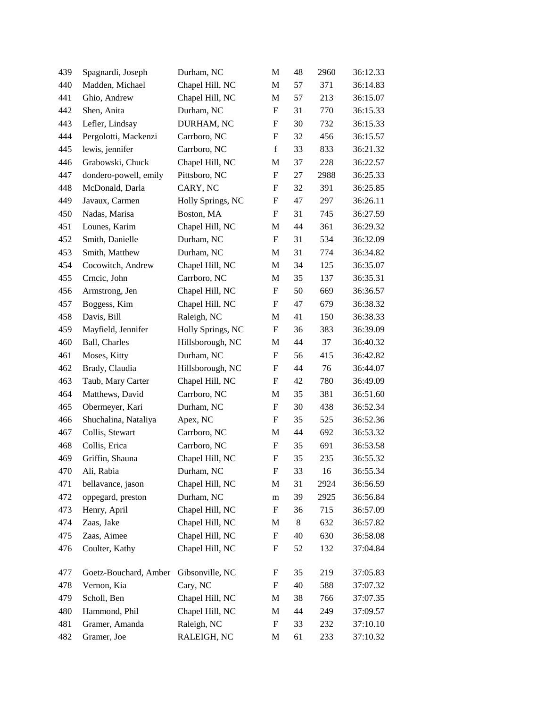| 439 | Spagnardi, Joseph     | Durham, NC        | M                         | 48 | 2960 | 36:12.33 |
|-----|-----------------------|-------------------|---------------------------|----|------|----------|
| 440 | Madden, Michael       | Chapel Hill, NC   | M                         | 57 | 371  | 36:14.83 |
| 441 | Ghio, Andrew          | Chapel Hill, NC   | M                         | 57 | 213  | 36:15.07 |
| 442 | Shen, Anita           | Durham, NC        | F                         | 31 | 770  | 36:15.33 |
| 443 | Lefler, Lindsay       | DURHAM, NC        | $\boldsymbol{F}$          | 30 | 732  | 36:15.33 |
| 444 | Pergolotti, Mackenzi  | Carrboro, NC      | ${\bf F}$                 | 32 | 456  | 36:15.57 |
| 445 | lewis, jennifer       | Carrboro, NC      | $\mathbf f$               | 33 | 833  | 36:21.32 |
| 446 | Grabowski, Chuck      | Chapel Hill, NC   | M                         | 37 | 228  | 36:22.57 |
| 447 | dondero-powell, emily | Pittsboro, NC     | $\boldsymbol{\mathrm{F}}$ | 27 | 2988 | 36:25.33 |
| 448 | McDonald, Darla       | CARY, NC          | F                         | 32 | 391  | 36:25.85 |
| 449 | Javaux, Carmen        | Holly Springs, NC | $\boldsymbol{\mathrm{F}}$ | 47 | 297  | 36:26.11 |
| 450 | Nadas, Marisa         | Boston, MA        | F                         | 31 | 745  | 36:27.59 |
| 451 | Lounes, Karim         | Chapel Hill, NC   | M                         | 44 | 361  | 36:29.32 |
| 452 | Smith, Danielle       | Durham, NC        | ${\bf F}$                 | 31 | 534  | 36:32.09 |
| 453 | Smith, Matthew        | Durham, NC        | M                         | 31 | 774  | 36:34.82 |
| 454 | Cocowitch, Andrew     | Chapel Hill, NC   | M                         | 34 | 125  | 36:35.07 |
| 455 | Crncic, John          | Carrboro, NC      | M                         | 35 | 137  | 36:35.31 |
| 456 | Armstrong, Jen        | Chapel Hill, NC   | $\boldsymbol{\mathrm{F}}$ | 50 | 669  | 36:36.57 |
| 457 | Boggess, Kim          | Chapel Hill, NC   | $\boldsymbol{F}$          | 47 | 679  | 36:38.32 |
| 458 | Davis, Bill           | Raleigh, NC       | M                         | 41 | 150  | 36:38.33 |
| 459 | Mayfield, Jennifer    | Holly Springs, NC | F                         | 36 | 383  | 36:39.09 |
| 460 | Ball, Charles         | Hillsborough, NC  | M                         | 44 | 37   | 36:40.32 |
| 461 | Moses, Kitty          | Durham, NC        | F                         | 56 | 415  | 36:42.82 |
| 462 | Brady, Claudia        | Hillsborough, NC  | $\boldsymbol{F}$          | 44 | 76   | 36:44.07 |
| 463 | Taub, Mary Carter     | Chapel Hill, NC   | F                         | 42 | 780  | 36:49.09 |
| 464 | Matthews, David       | Carrboro, NC      | M                         | 35 | 381  | 36:51.60 |
| 465 | Obermeyer, Kari       | Durham, NC        | F                         | 30 | 438  | 36:52.34 |
| 466 | Shuchalina, Nataliya  | Apex, NC          | F                         | 35 | 525  | 36:52.36 |
| 467 | Collis, Stewart       | Carrboro, NC      | M                         | 44 | 692  | 36:53.32 |
| 468 | Collis, Erica         | Carrboro, NC      | $\boldsymbol{\mathrm{F}}$ | 35 | 691  | 36:53.58 |
| 469 | Griffin, Shauna       | Chapel Hill, NC   | F                         | 35 | 235  | 36:55.32 |
| 470 | Ali, Rabia            | Durham, NC        | F                         | 33 | 16   | 36:55.34 |
| 471 | bellavance, jason     | Chapel Hill, NC   | M                         | 31 | 2924 | 36:56.59 |
| 472 | oppegard, preston     | Durham, NC        | ${\rm m}$                 | 39 | 2925 | 36:56.84 |
| 473 | Henry, April          | Chapel Hill, NC   | F                         | 36 | 715  | 36:57.09 |
| 474 | Zaas, Jake            | Chapel Hill, NC   | M                         | 8  | 632  | 36:57.82 |
| 475 | Zaas, Aimee           | Chapel Hill, NC   | $\boldsymbol{\mathrm{F}}$ | 40 | 630  | 36:58.08 |
| 476 | Coulter, Kathy        | Chapel Hill, NC   | $\boldsymbol{F}$          | 52 | 132  | 37:04.84 |
| 477 | Goetz-Bouchard, Amber | Gibsonville, NC   | F                         | 35 | 219  | 37:05.83 |
| 478 | Vernon, Kia           | Cary, NC          | F                         | 40 | 588  | 37:07.32 |
| 479 | Scholl, Ben           | Chapel Hill, NC   | M                         | 38 | 766  | 37:07.35 |
| 480 | Hammond, Phil         | Chapel Hill, NC   | M                         | 44 | 249  | 37:09.57 |
| 481 | Gramer, Amanda        | Raleigh, NC       | F                         | 33 | 232  | 37:10.10 |
| 482 | Gramer, Joe           | RALEIGH, NC       | M                         | 61 | 233  | 37:10.32 |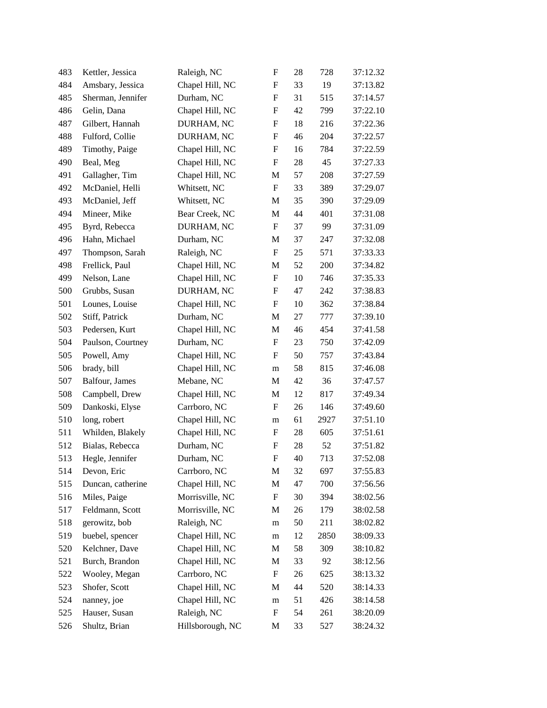| 483 | Kettler, Jessica  | Raleigh, NC      | $\boldsymbol{\mathrm{F}}$ | 28 | 728  | 37:12.32 |
|-----|-------------------|------------------|---------------------------|----|------|----------|
| 484 | Amsbary, Jessica  | Chapel Hill, NC  | $\boldsymbol{\mathrm{F}}$ | 33 | 19   | 37:13.82 |
| 485 | Sherman, Jennifer | Durham, NC       | ${\bf F}$                 | 31 | 515  | 37:14.57 |
| 486 | Gelin, Dana       | Chapel Hill, NC  | ${\bf F}$                 | 42 | 799  | 37:22.10 |
| 487 | Gilbert, Hannah   | DURHAM, NC       | $\boldsymbol{\mathrm{F}}$ | 18 | 216  | 37:22.36 |
| 488 | Fulford, Collie   | DURHAM, NC       | $\boldsymbol{\mathrm{F}}$ | 46 | 204  | 37:22.57 |
| 489 | Timothy, Paige    | Chapel Hill, NC  | F                         | 16 | 784  | 37:22.59 |
| 490 | Beal, Meg         | Chapel Hill, NC  | $\boldsymbol{\mathrm{F}}$ | 28 | 45   | 37:27.33 |
| 491 | Gallagher, Tim    | Chapel Hill, NC  | M                         | 57 | 208  | 37:27.59 |
| 492 | McDaniel, Helli   | Whitsett, NC     | $\boldsymbol{\mathrm{F}}$ | 33 | 389  | 37:29.07 |
| 493 | McDaniel, Jeff    | Whitsett, NC     | M                         | 35 | 390  | 37:29.09 |
| 494 | Mineer, Mike      | Bear Creek, NC   | M                         | 44 | 401  | 37:31.08 |
| 495 | Byrd, Rebecca     | DURHAM, NC       | $\boldsymbol{\mathrm{F}}$ | 37 | 99   | 37:31.09 |
| 496 | Hahn, Michael     | Durham, NC       | M                         | 37 | 247  | 37:32.08 |
| 497 | Thompson, Sarah   | Raleigh, NC      | $\boldsymbol{\mathrm{F}}$ | 25 | 571  | 37:33.33 |
| 498 | Frellick, Paul    | Chapel Hill, NC  | M                         | 52 | 200  | 37:34.82 |
| 499 | Nelson, Lane      | Chapel Hill, NC  | $\boldsymbol{\mathrm{F}}$ | 10 | 746  | 37:35.33 |
| 500 | Grubbs, Susan     | DURHAM, NC       | ${\bf F}$                 | 47 | 242  | 37:38.83 |
| 501 | Lounes, Louise    | Chapel Hill, NC  | F                         | 10 | 362  | 37:38.84 |
| 502 | Stiff, Patrick    | Durham, NC       | M                         | 27 | 777  | 37:39.10 |
| 503 | Pedersen, Kurt    | Chapel Hill, NC  | M                         | 46 | 454  | 37:41.58 |
| 504 | Paulson, Courtney | Durham, NC       | F                         | 23 | 750  | 37:42.09 |
| 505 | Powell, Amy       | Chapel Hill, NC  | $\boldsymbol{\mathrm{F}}$ | 50 | 757  | 37:43.84 |
| 506 | brady, bill       | Chapel Hill, NC  | m                         | 58 | 815  | 37:46.08 |
| 507 | Balfour, James    | Mebane, NC       | M                         | 42 | 36   | 37:47.57 |
| 508 | Campbell, Drew    | Chapel Hill, NC  | M                         | 12 | 817  | 37:49.34 |
| 509 | Dankoski, Elyse   | Carrboro, NC     | F                         | 26 | 146  | 37:49.60 |
| 510 | long, robert      | Chapel Hill, NC  | m                         | 61 | 2927 | 37:51.10 |
| 511 | Whilden, Blakely  | Chapel Hill, NC  | $\boldsymbol{\mathrm{F}}$ | 28 | 605  | 37:51.61 |
| 512 | Bialas, Rebecca   | Durham, NC       | $\boldsymbol{\mathrm{F}}$ | 28 | 52   | 37:51.82 |
| 513 | Hegle, Jennifer   | Durham, NC       | ${\bf F}$                 | 40 | 713  | 37:52.08 |
| 514 | Devon, Eric       | Carrboro, NC     | M                         | 32 | 697  | 37:55.83 |
| 515 | Duncan, catherine | Chapel Hill, NC  | M                         | 47 | 700  | 37:56.56 |
| 516 | Miles, Paige      | Morrisville, NC  | ${\rm F}$                 | 30 | 394  | 38:02.56 |
| 517 | Feldmann, Scott   | Morrisville, NC  | M                         | 26 | 179  | 38:02.58 |
| 518 | gerowitz, bob     | Raleigh, NC      | m                         | 50 | 211  | 38:02.82 |
| 519 | buebel, spencer   | Chapel Hill, NC  | m                         | 12 | 2850 | 38:09.33 |
| 520 | Kelchner, Dave    | Chapel Hill, NC  | M                         | 58 | 309  | 38:10.82 |
| 521 | Burch, Brandon    | Chapel Hill, NC  | M                         | 33 | 92   | 38:12.56 |
| 522 | Wooley, Megan     | Carrboro, NC     | ${\bf F}$                 | 26 | 625  | 38:13.32 |
| 523 | Shofer, Scott     | Chapel Hill, NC  | M                         | 44 | 520  | 38:14.33 |
| 524 | nanney, joe       | Chapel Hill, NC  | m                         | 51 | 426  | 38:14.58 |
| 525 | Hauser, Susan     | Raleigh, NC      | ${\bf F}$                 | 54 | 261  | 38:20.09 |
| 526 | Shultz, Brian     | Hillsborough, NC | M                         | 33 | 527  | 38:24.32 |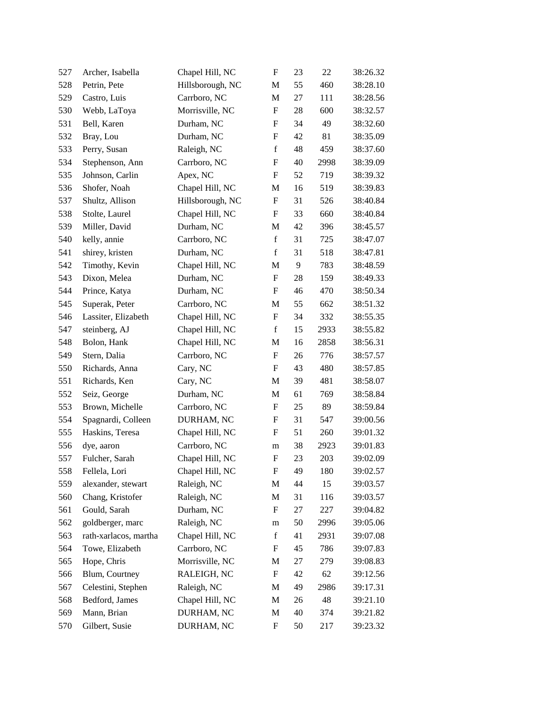| 527 | Archer, Isabella      | Chapel Hill, NC  | $\boldsymbol{\mathrm{F}}$ | 23 | 22   | 38:26.32 |
|-----|-----------------------|------------------|---------------------------|----|------|----------|
| 528 | Petrin, Pete          | Hillsborough, NC | M                         | 55 | 460  | 38:28.10 |
| 529 | Castro, Luis          | Carrboro, NC     | M                         | 27 | 111  | 38:28.56 |
| 530 | Webb, LaToya          | Morrisville, NC  | $\boldsymbol{\mathrm{F}}$ | 28 | 600  | 38:32.57 |
| 531 | Bell, Karen           | Durham, NC       | F                         | 34 | 49   | 38:32.60 |
| 532 | Bray, Lou             | Durham, NC       | $\boldsymbol{\mathrm{F}}$ | 42 | 81   | 38:35.09 |
| 533 | Perry, Susan          | Raleigh, NC      | $\mathbf f$               | 48 | 459  | 38:37.60 |
| 534 | Stephenson, Ann       | Carrboro, NC     | ${\bf F}$                 | 40 | 2998 | 38:39.09 |
| 535 | Johnson, Carlin       | Apex, NC         | $\boldsymbol{\mathrm{F}}$ | 52 | 719  | 38:39.32 |
| 536 | Shofer, Noah          | Chapel Hill, NC  | M                         | 16 | 519  | 38:39.83 |
| 537 | Shultz, Allison       | Hillsborough, NC | $\boldsymbol{\mathrm{F}}$ | 31 | 526  | 38:40.84 |
| 538 | Stolte, Laurel        | Chapel Hill, NC  | F                         | 33 | 660  | 38:40.84 |
| 539 | Miller, David         | Durham, NC       | M                         | 42 | 396  | 38:45.57 |
| 540 | kelly, annie          | Carrboro, NC     | $\mathbf f$               | 31 | 725  | 38:47.07 |
| 541 | shirey, kristen       | Durham, NC       | $\mathbf f$               | 31 | 518  | 38:47.81 |
| 542 | Timothy, Kevin        | Chapel Hill, NC  | M                         | 9  | 783  | 38:48.59 |
| 543 | Dixon, Melea          | Durham, NC       | F                         | 28 | 159  | 38:49.33 |
| 544 | Prince, Katya         | Durham, NC       | $\boldsymbol{\mathrm{F}}$ | 46 | 470  | 38:50.34 |
| 545 | Superak, Peter        | Carrboro, NC     | M                         | 55 | 662  | 38:51.32 |
| 546 | Lassiter, Elizabeth   | Chapel Hill, NC  | $\boldsymbol{\mathrm{F}}$ | 34 | 332  | 38:55.35 |
| 547 | steinberg, AJ         | Chapel Hill, NC  | $\mathbf f$               | 15 | 2933 | 38:55.82 |
| 548 | Bolon, Hank           | Chapel Hill, NC  | M                         | 16 | 2858 | 38:56.31 |
| 549 | Stern, Dalia          | Carrboro, NC     | $\boldsymbol{\mathrm{F}}$ | 26 | 776  | 38:57.57 |
| 550 | Richards, Anna        | Cary, NC         | F                         | 43 | 480  | 38:57.85 |
| 551 | Richards, Ken         | Cary, NC         | M                         | 39 | 481  | 38:58.07 |
| 552 | Seiz, George          | Durham, NC       | M                         | 61 | 769  | 38:58.84 |
| 553 | Brown, Michelle       | Carrboro, NC     | F                         | 25 | 89   | 38:59.84 |
| 554 | Spagnardi, Colleen    | DURHAM, NC       | $\boldsymbol{\mathrm{F}}$ | 31 | 547  | 39:00.56 |
| 555 | Haskins, Teresa       | Chapel Hill, NC  | $\boldsymbol{F}$          | 51 | 260  | 39:01.32 |
| 556 | dye, aaron            | Carrboro, NC     | m                         | 38 | 2923 | 39:01.83 |
| 557 | Fulcher, Sarah        | Chapel Hill, NC  | F                         | 23 | 203  | 39:02.09 |
| 558 | Fellela, Lori         | Chapel Hill, NC  | F                         | 49 | 180  | 39:02.57 |
| 559 | alexander, stewart    | Raleigh, NC      | M                         | 44 | 15   | 39:03.57 |
| 560 | Chang, Kristofer      | Raleigh, NC      | M                         | 31 | 116  | 39:03.57 |
| 561 | Gould, Sarah          | Durham, NC       | F                         | 27 | 227  | 39:04.82 |
| 562 | goldberger, marc      | Raleigh, NC      | m                         | 50 | 2996 | 39:05.06 |
| 563 | rath-xarlacos, martha | Chapel Hill, NC  | $\mathbf f$               | 41 | 2931 | 39:07.08 |
| 564 | Towe, Elizabeth       | Carrboro, NC     | ${\bf F}$                 | 45 | 786  | 39:07.83 |
| 565 | Hope, Chris           | Morrisville, NC  | M                         | 27 | 279  | 39:08.83 |
| 566 | Blum, Courtney        | RALEIGH, NC      | F                         | 42 | 62   | 39:12.56 |
| 567 | Celestini, Stephen    | Raleigh, NC      | M                         | 49 | 2986 | 39:17.31 |
| 568 | Bedford, James        | Chapel Hill, NC  | M                         | 26 | 48   | 39:21.10 |
| 569 | Mann, Brian           | DURHAM, NC       | M                         | 40 | 374  | 39:21.82 |
| 570 | Gilbert, Susie        | DURHAM, NC       | F                         | 50 | 217  | 39:23.32 |
|     |                       |                  |                           |    |      |          |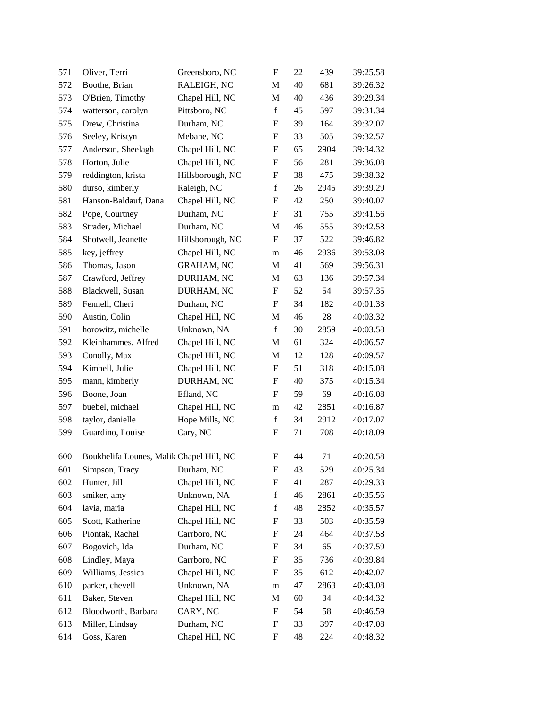| 571 | Oliver, Terri                            | Greensboro, NC    | $\boldsymbol{\mathrm{F}}$ | 22 | 439  | 39:25.58 |
|-----|------------------------------------------|-------------------|---------------------------|----|------|----------|
| 572 | Boothe, Brian                            | RALEIGH, NC       | M                         | 40 | 681  | 39:26.32 |
| 573 | O'Brien, Timothy                         | Chapel Hill, NC   | M                         | 40 | 436  | 39:29.34 |
| 574 | watterson, carolyn                       | Pittsboro, NC     | $\mathbf f$               | 45 | 597  | 39:31.34 |
| 575 | Drew, Christina                          | Durham, NC        | F                         | 39 | 164  | 39:32.07 |
| 576 | Seeley, Kristyn                          | Mebane, NC        | $\boldsymbol{\mathrm{F}}$ | 33 | 505  | 39:32.57 |
| 577 | Anderson, Sheelagh                       | Chapel Hill, NC   | F                         | 65 | 2904 | 39:34.32 |
| 578 | Horton, Julie                            | Chapel Hill, NC   | $\boldsymbol{\mathrm{F}}$ | 56 | 281  | 39:36.08 |
| 579 | reddington, krista                       | Hillsborough, NC  | ${\rm F}$                 | 38 | 475  | 39:38.32 |
| 580 | durso, kimberly                          | Raleigh, NC       | $\mathbf f$               | 26 | 2945 | 39:39.29 |
| 581 | Hanson-Baldauf, Dana                     | Chapel Hill, NC   | $\boldsymbol{\mathrm{F}}$ | 42 | 250  | 39:40.07 |
| 582 | Pope, Courtney                           | Durham, NC        | F                         | 31 | 755  | 39:41.56 |
| 583 | Strader, Michael                         | Durham, NC        | M                         | 46 | 555  | 39:42.58 |
| 584 | Shotwell, Jeanette                       | Hillsborough, NC  | $\boldsymbol{\mathrm{F}}$ | 37 | 522  | 39:46.82 |
| 585 | key, jeffrey                             | Chapel Hill, NC   | m                         | 46 | 2936 | 39:53.08 |
| 586 | Thomas, Jason                            | <b>GRAHAM, NC</b> | M                         | 41 | 569  | 39:56.31 |
| 587 | Crawford, Jeffrey                        | DURHAM, NC        | M                         | 63 | 136  | 39:57.34 |
| 588 | Blackwell, Susan                         | DURHAM, NC        | F                         | 52 | 54   | 39:57.35 |
| 589 | Fennell, Cheri                           | Durham, NC        | ${\rm F}$                 | 34 | 182  | 40:01.33 |
| 590 | Austin, Colin                            | Chapel Hill, NC   | M                         | 46 | 28   | 40:03.32 |
| 591 | horowitz, michelle                       | Unknown, NA       | $\mathbf f$               | 30 | 2859 | 40:03.58 |
| 592 | Kleinhammes, Alfred                      | Chapel Hill, NC   | M                         | 61 | 324  | 40:06.57 |
| 593 | Conolly, Max                             | Chapel Hill, NC   | M                         | 12 | 128  | 40:09.57 |
| 594 | Kimbell, Julie                           | Chapel Hill, NC   | ${\rm F}$                 | 51 | 318  | 40:15.08 |
| 595 | mann, kimberly                           | DURHAM, NC        | ${\rm F}$                 | 40 | 375  | 40:15.34 |
| 596 | Boone, Joan                              | Efland, NC        | F                         | 59 | 69   | 40:16.08 |
| 597 | buebel, michael                          | Chapel Hill, NC   | m                         | 42 | 2851 | 40:16.87 |
| 598 | taylor, danielle                         | Hope Mills, NC    | $\mathbf f$               | 34 | 2912 | 40:17.07 |
| 599 | Guardino, Louise                         | Cary, NC          | F                         | 71 | 708  | 40:18.09 |
| 600 | Boukhelifa Lounes, Malik Chapel Hill, NC |                   | F                         | 44 | 71   | 40:20.58 |
| 601 | Simpson, Tracy Durham, NC                |                   | $\boldsymbol{\mathrm{F}}$ | 43 | 529  | 40:25.34 |
| 602 | Hunter, Jill                             | Chapel Hill, NC   | ${\rm F}$                 | 41 | 287  | 40:29.33 |
| 603 | smiker, amy                              | Unknown, NA       | $\mathbf f$               | 46 | 2861 | 40:35.56 |
| 604 | lavia, maria                             | Chapel Hill, NC   | $\mathbf f$               | 48 | 2852 | 40:35.57 |
| 605 | Scott, Katherine                         | Chapel Hill, NC   | F                         | 33 | 503  | 40:35.59 |
| 606 | Piontak, Rachel                          | Carrboro, NC      | ${\rm F}$                 | 24 | 464  | 40:37.58 |
| 607 | Bogovich, Ida                            | Durham, NC        | ${\rm F}$                 | 34 | 65   | 40:37.59 |
| 608 | Lindley, Maya                            | Carrboro, NC      | ${\rm F}$                 | 35 | 736  | 40:39.84 |
| 609 | Williams, Jessica                        | Chapel Hill, NC   | F                         | 35 | 612  | 40:42.07 |
| 610 | parker, chevell                          | Unknown, NA       | m                         | 47 | 2863 | 40:43.08 |
| 611 | Baker, Steven                            | Chapel Hill, NC   | M                         | 60 | 34   | 40:44.32 |
| 612 | Bloodworth, Barbara                      | CARY, NC          | ${\rm F}$                 | 54 | 58   | 40:46.59 |
| 613 | Miller, Lindsay                          | Durham, NC        | ${\rm F}$                 | 33 | 397  | 40:47.08 |
| 614 | Goss, Karen                              | Chapel Hill, NC   | ${\rm F}$                 | 48 | 224  | 40:48.32 |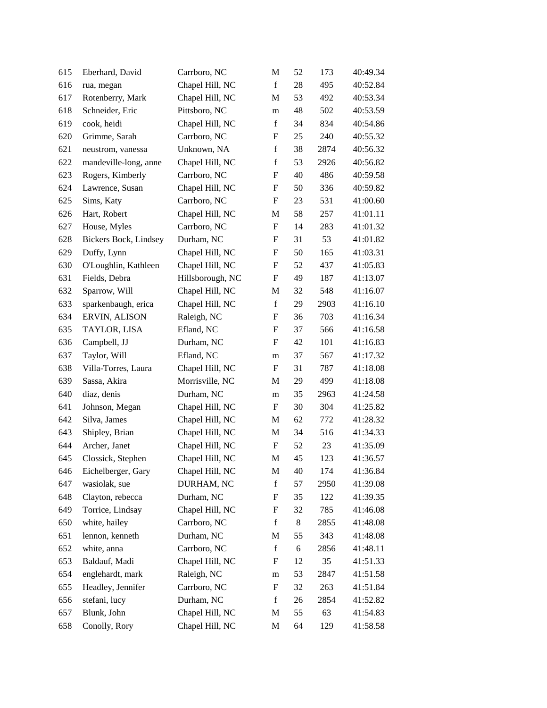| 615 | Eberhard, David       | Carrboro, NC     | M                         | 52 | 173  | 40:49.34 |
|-----|-----------------------|------------------|---------------------------|----|------|----------|
| 616 | rua, megan            | Chapel Hill, NC  | $\mathbf f$               | 28 | 495  | 40:52.84 |
| 617 | Rotenberry, Mark      | Chapel Hill, NC  | M                         | 53 | 492  | 40:53.34 |
| 618 | Schneider, Eric       | Pittsboro, NC    | m                         | 48 | 502  | 40:53.59 |
| 619 | cook, heidi           | Chapel Hill, NC  | $\mathbf f$               | 34 | 834  | 40:54.86 |
| 620 | Grimme, Sarah         | Carrboro, NC     | ${\bf F}$                 | 25 | 240  | 40:55.32 |
| 621 | neustrom, vanessa     | Unknown, NA      | $\mathbf f$               | 38 | 2874 | 40:56.32 |
| 622 | mandeville-long, anne | Chapel Hill, NC  | $\mathbf f$               | 53 | 2926 | 40:56.82 |
| 623 | Rogers, Kimberly      | Carrboro, NC     | F                         | 40 | 486  | 40:59.58 |
| 624 | Lawrence, Susan       | Chapel Hill, NC  | $\boldsymbol{\mathrm{F}}$ | 50 | 336  | 40:59.82 |
| 625 | Sims, Katy            | Carrboro, NC     | $\boldsymbol{\mathrm{F}}$ | 23 | 531  | 41:00.60 |
| 626 | Hart, Robert          | Chapel Hill, NC  | M                         | 58 | 257  | 41:01.11 |
| 627 | House, Myles          | Carrboro, NC     | $\boldsymbol{\mathrm{F}}$ | 14 | 283  | 41:01.32 |
| 628 | Bickers Bock, Lindsey | Durham, NC       | $\boldsymbol{F}$          | 31 | 53   | 41:01.82 |
| 629 | Duffy, Lynn           | Chapel Hill, NC  | $\boldsymbol{\mathrm{F}}$ | 50 | 165  | 41:03.31 |
| 630 | O'Loughlin, Kathleen  | Chapel Hill, NC  | $\boldsymbol{\mathrm{F}}$ | 52 | 437  | 41:05.83 |
| 631 | Fields, Debra         | Hillsborough, NC | F                         | 49 | 187  | 41:13.07 |
| 632 | Sparrow, Will         | Chapel Hill, NC  | M                         | 32 | 548  | 41:16.07 |
| 633 | sparkenbaugh, erica   | Chapel Hill, NC  | $\mathbf f$               | 29 | 2903 | 41:16.10 |
| 634 | ERVIN, ALISON         | Raleigh, NC      | ${\rm F}$                 | 36 | 703  | 41:16.34 |
| 635 | TAYLOR, LISA          | Efland, NC       | $\boldsymbol{\mathrm{F}}$ | 37 | 566  | 41:16.58 |
| 636 | Campbell, JJ          | Durham, NC       | F                         | 42 | 101  | 41:16.83 |
| 637 | Taylor, Will          | Efland, NC       | m                         | 37 | 567  | 41:17.32 |
| 638 | Villa-Torres, Laura   | Chapel Hill, NC  | F                         | 31 | 787  | 41:18.08 |
| 639 | Sassa, Akira          | Morrisville, NC  | M                         | 29 | 499  | 41:18.08 |
| 640 | diaz, denis           | Durham, NC       | m                         | 35 | 2963 | 41:24.58 |
| 641 | Johnson, Megan        | Chapel Hill, NC  | F                         | 30 | 304  | 41:25.82 |
| 642 | Silva, James          | Chapel Hill, NC  | M                         | 62 | 772  | 41:28.32 |
| 643 | Shipley, Brian        | Chapel Hill, NC  | M                         | 34 | 516  | 41:34.33 |
| 644 | Archer, Janet         | Chapel Hill, NC  | $\mathbf F$               | 52 | 23   | 41:35.09 |
| 645 | Clossick, Stephen     | Chapel Hill, NC  | M                         | 45 | 123  | 41:36.57 |
| 646 | Eichelberger, Gary    | Chapel Hill, NC  | M                         | 40 | 174  | 41:36.84 |
| 647 | wasiolak, sue         | DURHAM, NC       | $\mathbf f$               | 57 | 2950 | 41:39.08 |
| 648 | Clayton, rebecca      | Durham, NC       | F                         | 35 | 122  | 41:39.35 |
| 649 | Torrice, Lindsay      | Chapel Hill, NC  | ${\rm F}$                 | 32 | 785  | 41:46.08 |
| 650 | white, hailey         | Carrboro, NC     | $\mathbf f$               | 8  | 2855 | 41:48.08 |
| 651 | lennon, kenneth       | Durham, NC       | M                         | 55 | 343  | 41:48.08 |
| 652 | white, anna           | Carrboro, NC     | $\mathbf f$               | 6  | 2856 | 41:48.11 |
| 653 | Baldauf, Madi         | Chapel Hill, NC  | F                         | 12 | 35   | 41:51.33 |
| 654 | englehardt, mark      | Raleigh, NC      | m                         | 53 | 2847 | 41:51.58 |
| 655 | Headley, Jennifer     | Carrboro, NC     | ${\rm F}$                 | 32 | 263  | 41:51.84 |
| 656 | stefani, lucy         | Durham, NC       | $\mathbf f$               | 26 | 2854 | 41:52.82 |
| 657 | Blunk, John           | Chapel Hill, NC  | M                         | 55 | 63   | 41:54.83 |
| 658 | Conolly, Rory         | Chapel Hill, NC  | M                         | 64 | 129  | 41:58.58 |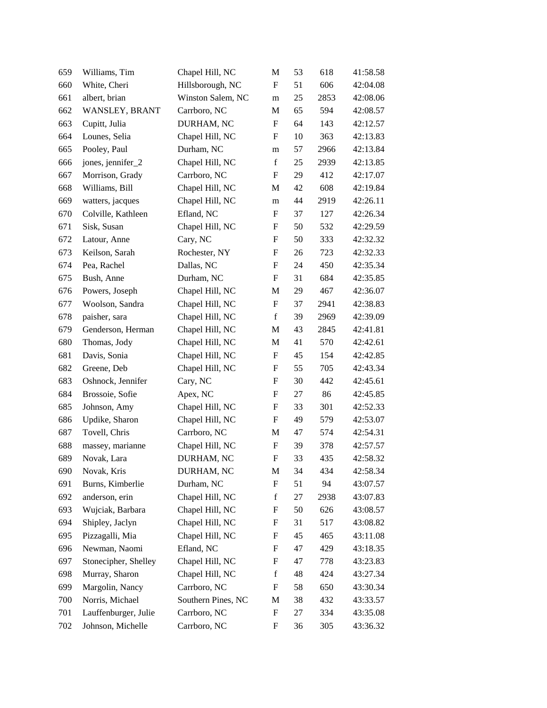| 659 | Williams, Tim        | Chapel Hill, NC    | M                         | 53 | 618  | 41:58.58 |
|-----|----------------------|--------------------|---------------------------|----|------|----------|
| 660 | White, Cheri         | Hillsborough, NC   | F                         | 51 | 606  | 42:04.08 |
| 661 | albert, brian        | Winston Salem, NC  | m                         | 25 | 2853 | 42:08.06 |
| 662 | WANSLEY, BRANT       | Carrboro, NC       | M                         | 65 | 594  | 42:08.57 |
| 663 | Cupitt, Julia        | DURHAM, NC         | $\boldsymbol{\mathrm{F}}$ | 64 | 143  | 42:12.57 |
| 664 | Lounes, Selia        | Chapel Hill, NC    | $\boldsymbol{\mathrm{F}}$ | 10 | 363  | 42:13.83 |
| 665 | Pooley, Paul         | Durham, NC         | m                         | 57 | 2966 | 42:13.84 |
| 666 | jones, jennifer_2    | Chapel Hill, NC    | $\mathbf f$               | 25 | 2939 | 42:13.85 |
| 667 | Morrison, Grady      | Carrboro, NC       | F                         | 29 | 412  | 42:17.07 |
| 668 | Williams, Bill       | Chapel Hill, NC    | M                         | 42 | 608  | 42:19.84 |
| 669 | watters, jacques     | Chapel Hill, NC    | m                         | 44 | 2919 | 42:26.11 |
| 670 | Colville, Kathleen   | Efland, NC         | F                         | 37 | 127  | 42:26.34 |
| 671 | Sisk, Susan          | Chapel Hill, NC    | F                         | 50 | 532  | 42:29.59 |
| 672 | Latour, Anne         | Cary, NC           | $\boldsymbol{F}$          | 50 | 333  | 42:32.32 |
| 673 | Keilson, Sarah       | Rochester, NY      | F                         | 26 | 723  | 42:32.33 |
| 674 | Pea, Rachel          | Dallas, NC         | $\boldsymbol{\mathrm{F}}$ | 24 | 450  | 42:35.34 |
| 675 | Bush, Anne           | Durham, NC         | F                         | 31 | 684  | 42:35.85 |
| 676 | Powers, Joseph       | Chapel Hill, NC    | M                         | 29 | 467  | 42:36.07 |
| 677 | Woolson, Sandra      | Chapel Hill, NC    | $\boldsymbol{\mathrm{F}}$ | 37 | 2941 | 42:38.83 |
| 678 | paisher, sara        | Chapel Hill, NC    | $\mathbf f$               | 39 | 2969 | 42:39.09 |
| 679 | Genderson, Herman    | Chapel Hill, NC    | M                         | 43 | 2845 | 42:41.81 |
| 680 | Thomas, Jody         | Chapel Hill, NC    | M                         | 41 | 570  | 42:42.61 |
| 681 | Davis, Sonia         | Chapel Hill, NC    | $\boldsymbol{\mathrm{F}}$ | 45 | 154  | 42:42.85 |
| 682 | Greene, Deb          | Chapel Hill, NC    | $\boldsymbol{\mathrm{F}}$ | 55 | 705  | 42:43.34 |
| 683 | Oshnock, Jennifer    | Cary, NC           | ${\rm F}$                 | 30 | 442  | 42:45.61 |
| 684 | Brossoie, Sofie      | Apex, NC           | $\boldsymbol{\mathrm{F}}$ | 27 | 86   | 42:45.85 |
| 685 | Johnson, Amy         | Chapel Hill, NC    | F                         | 33 | 301  | 42:52.33 |
| 686 | Updike, Sharon       | Chapel Hill, NC    | $\boldsymbol{\mathrm{F}}$ | 49 | 579  | 42:53.07 |
| 687 | Tovell, Chris        | Carrboro, NC       | M                         | 47 | 574  | 42:54.31 |
| 688 | massey, marianne     | Chapel Hill, NC    | $\boldsymbol{\mathrm{F}}$ | 39 | 378  | 42:57.57 |
| 689 | Novak, Lara          | DURHAM, NC         | ${\rm F}$                 | 33 | 435  | 42:58.32 |
| 690 | Novak, Kris          | DURHAM, NC         | M                         | 34 | 434  | 42:58.34 |
| 691 | Burns, Kimberlie     | Durham, NC         | ${\rm F}$                 | 51 | 94   | 43:07.57 |
| 692 | anderson, erin       | Chapel Hill, NC    | $\mathbf f$               | 27 | 2938 | 43:07.83 |
| 693 | Wujciak, Barbara     | Chapel Hill, NC    | ${\rm F}$                 | 50 | 626  | 43:08.57 |
| 694 | Shipley, Jaclyn      | Chapel Hill, NC    | ${\rm F}$                 | 31 | 517  | 43:08.82 |
| 695 | Pizzagalli, Mia      | Chapel Hill, NC    | F                         | 45 | 465  | 43:11.08 |
| 696 | Newman, Naomi        | Efland, NC         | ${\bf F}$                 | 47 | 429  | 43:18.35 |
| 697 | Stonecipher, Shelley | Chapel Hill, NC    | F                         | 47 | 778  | 43:23.83 |
| 698 | Murray, Sharon       | Chapel Hill, NC    | $\mathbf f$               | 48 | 424  | 43:27.34 |
| 699 | Margolin, Nancy      | Carrboro, NC       | ${\rm F}$                 | 58 | 650  | 43:30.34 |
| 700 | Norris, Michael      | Southern Pines, NC | M                         | 38 | 432  | 43:33.57 |
| 701 | Lauffenburger, Julie | Carrboro, NC       | ${\rm F}$                 | 27 | 334  | 43:35.08 |
| 702 | Johnson, Michelle    | Carrboro, NC       | ${\rm F}$                 | 36 | 305  | 43:36.32 |
|     |                      |                    |                           |    |      |          |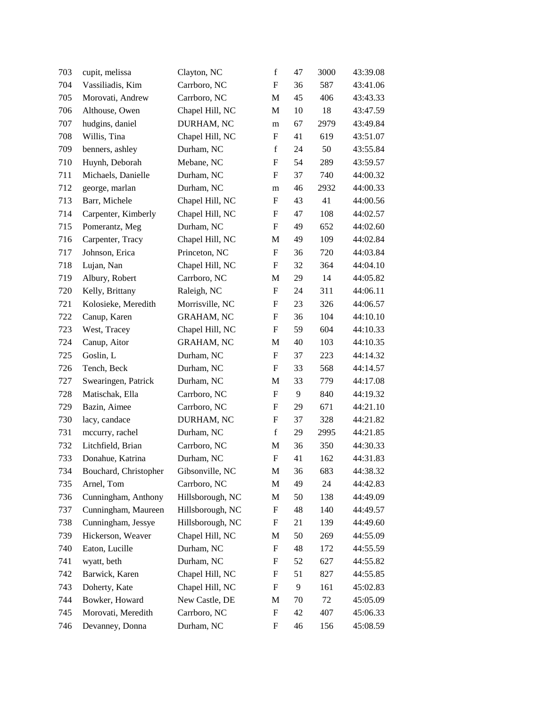| 703 | cupit, melissa        | Clayton, NC       | $\mathbf f$               | 47 | 3000 | 43:39.08 |
|-----|-----------------------|-------------------|---------------------------|----|------|----------|
| 704 | Vassiliadis, Kim      | Carrboro, NC      | $\boldsymbol{F}$          | 36 | 587  | 43:41.06 |
| 705 | Morovati, Andrew      | Carrboro, NC      | M                         | 45 | 406  | 43:43.33 |
| 706 | Althouse, Owen        | Chapel Hill, NC   | M                         | 10 | 18   | 43:47.59 |
| 707 | hudgins, daniel       | DURHAM, NC        | m                         | 67 | 2979 | 43:49.84 |
| 708 | Willis, Tina          | Chapel Hill, NC   | ${\rm F}$                 | 41 | 619  | 43:51.07 |
| 709 | benners, ashley       | Durham, NC        | f                         | 24 | 50   | 43:55.84 |
| 710 | Huynh, Deborah        | Mebane, NC        | ${\bf F}$                 | 54 | 289  | 43:59.57 |
| 711 | Michaels, Danielle    | Durham, NC        | F                         | 37 | 740  | 44:00.32 |
| 712 | george, marlan        | Durham, NC        | m                         | 46 | 2932 | 44:00.33 |
| 713 | Barr, Michele         | Chapel Hill, NC   | F                         | 43 | 41   | 44:00.56 |
| 714 | Carpenter, Kimberly   | Chapel Hill, NC   | F                         | 47 | 108  | 44:02.57 |
| 715 | Pomerantz, Meg        | Durham, NC        | $\boldsymbol{\mathrm{F}}$ | 49 | 652  | 44:02.60 |
| 716 | Carpenter, Tracy      | Chapel Hill, NC   | M                         | 49 | 109  | 44:02.84 |
| 717 | Johnson, Erica        | Princeton, NC     | $\boldsymbol{\mathrm{F}}$ | 36 | 720  | 44:03.84 |
| 718 | Lujan, Nan            | Chapel Hill, NC   | $\boldsymbol{\mathrm{F}}$ | 32 | 364  | 44:04.10 |
| 719 | Albury, Robert        | Carrboro, NC      | M                         | 29 | 14   | 44:05.82 |
| 720 | Kelly, Brittany       | Raleigh, NC       | $\boldsymbol{\mathrm{F}}$ | 24 | 311  | 44:06.11 |
| 721 | Kolosieke, Meredith   | Morrisville, NC   | $\boldsymbol{F}$          | 23 | 326  | 44:06.57 |
| 722 | Canup, Karen          | <b>GRAHAM, NC</b> | $\boldsymbol{\mathrm{F}}$ | 36 | 104  | 44:10.10 |
| 723 | West, Tracey          | Chapel Hill, NC   | $\boldsymbol{\mathrm{F}}$ | 59 | 604  | 44:10.33 |
| 724 | Canup, Aitor          | <b>GRAHAM, NC</b> | M                         | 40 | 103  | 44:10.35 |
| 725 | Goslin, L             | Durham, NC        | $\boldsymbol{\mathrm{F}}$ | 37 | 223  | 44:14.32 |
| 726 | Tench, Beck           | Durham, NC        | $\boldsymbol{\mathrm{F}}$ | 33 | 568  | 44:14.57 |
| 727 | Swearingen, Patrick   | Durham, NC        | M                         | 33 | 779  | 44:17.08 |
| 728 | Matischak, Ella       | Carrboro, NC      | $\boldsymbol{\mathrm{F}}$ | 9  | 840  | 44:19.32 |
| 729 | Bazin, Aimee          | Carrboro, NC      | F                         | 29 | 671  | 44:21.10 |
| 730 | lacy, candace         | DURHAM, NC        | F                         | 37 | 328  | 44:21.82 |
| 731 | mccurry, rachel       | Durham, NC        | $\mathbf f$               | 29 | 2995 | 44:21.85 |
| 732 | Litchfield, Brian     | Carrboro, NC      | M                         | 36 | 350  | 44:30.33 |
| 733 | Donahue, Katrina      | Durham, NC        | ${\bf F}$                 | 41 | 162  | 44:31.83 |
| 734 | Bouchard, Christopher | Gibsonville, NC   | М                         | 36 | 683  | 44:38.32 |
| 735 | Arnel, Tom            | Carrboro, NC      | M                         | 49 | 24   | 44:42.83 |
| 736 | Cunningham, Anthony   | Hillsborough, NC  | M                         | 50 | 138  | 44:49.09 |
| 737 | Cunningham, Maureen   | Hillsborough, NC  | F                         | 48 | 140  | 44:49.57 |
| 738 | Cunningham, Jessye    | Hillsborough, NC  | ${\rm F}$                 | 21 | 139  | 44:49.60 |
| 739 | Hickerson, Weaver     | Chapel Hill, NC   | M                         | 50 | 269  | 44:55.09 |
| 740 | Eaton, Lucille        | Durham, NC        | ${\rm F}$                 | 48 | 172  | 44:55.59 |
| 741 | wyatt, beth           | Durham, NC        | F                         | 52 | 627  | 44:55.82 |
| 742 | Barwick, Karen        | Chapel Hill, NC   | F                         | 51 | 827  | 44:55.85 |
| 743 | Doherty, Kate         | Chapel Hill, NC   | ${\rm F}$                 | 9  | 161  | 45:02.83 |
| 744 | Bowker, Howard        | New Castle, DE    | M                         | 70 | 72   | 45:05.09 |
| 745 | Morovati, Meredith    | Carrboro, NC      | ${\rm F}$                 | 42 | 407  | 45:06.33 |
| 746 | Devanney, Donna       | Durham, NC        | F                         | 46 | 156  | 45:08.59 |
|     |                       |                   |                           |    |      |          |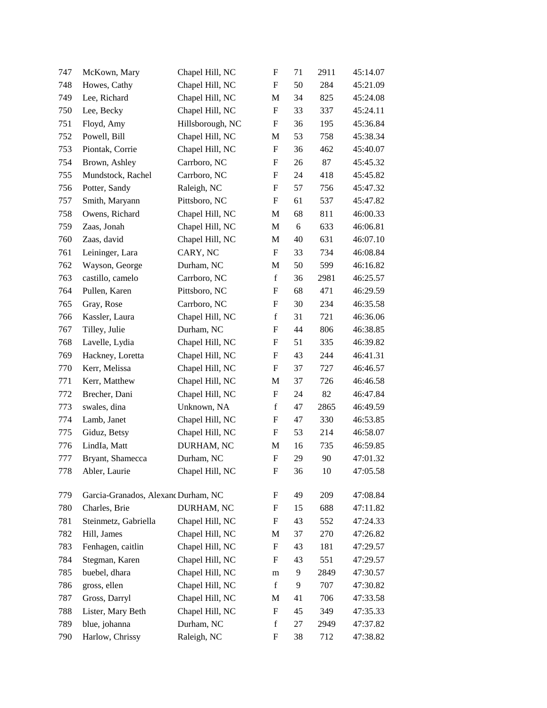| 747 | McKown, Mary                        | Chapel Hill, NC  | $\boldsymbol{\mathrm{F}}$ | 71 | 2911 | 45:14.07 |
|-----|-------------------------------------|------------------|---------------------------|----|------|----------|
| 748 | Howes, Cathy                        | Chapel Hill, NC  | F                         | 50 | 284  | 45:21.09 |
| 749 | Lee, Richard                        | Chapel Hill, NC  | M                         | 34 | 825  | 45:24.08 |
| 750 | Lee, Becky                          | Chapel Hill, NC  | ${\rm F}$                 | 33 | 337  | 45:24.11 |
| 751 | Floyd, Amy                          | Hillsborough, NC | ${\rm F}$                 | 36 | 195  | 45:36.84 |
| 752 | Powell, Bill                        | Chapel Hill, NC  | M                         | 53 | 758  | 45:38.34 |
| 753 | Piontak, Corrie                     | Chapel Hill, NC  | F                         | 36 | 462  | 45:40.07 |
| 754 | Brown, Ashley                       | Carrboro, NC     | F                         | 26 | 87   | 45:45.32 |
| 755 | Mundstock, Rachel                   | Carrboro, NC     | ${\rm F}$                 | 24 | 418  | 45:45.82 |
| 756 | Potter, Sandy                       | Raleigh, NC      | ${\rm F}$                 | 57 | 756  | 45:47.32 |
| 757 | Smith, Maryann                      | Pittsboro, NC    | ${\rm F}$                 | 61 | 537  | 45:47.82 |
| 758 | Owens, Richard                      | Chapel Hill, NC  | M                         | 68 | 811  | 46:00.33 |
| 759 | Zaas, Jonah                         | Chapel Hill, NC  | M                         | 6  | 633  | 46:06.81 |
| 760 | Zaas, david                         | Chapel Hill, NC  | M                         | 40 | 631  | 46:07.10 |
| 761 | Leininger, Lara                     | CARY, NC         | F                         | 33 | 734  | 46:08.84 |
| 762 | Wayson, George                      | Durham, NC       | M                         | 50 | 599  | 46:16.82 |
| 763 | castillo, camelo                    | Carrboro, NC     | $\mathbf f$               | 36 | 2981 | 46:25.57 |
| 764 | Pullen, Karen                       | Pittsboro, NC    | F                         | 68 | 471  | 46:29.59 |
| 765 | Gray, Rose                          | Carrboro, NC     | ${\rm F}$                 | 30 | 234  | 46:35.58 |
| 766 | Kassler, Laura                      | Chapel Hill, NC  | $\mathbf f$               | 31 | 721  | 46:36.06 |
| 767 | Tilley, Julie                       | Durham, NC       | $\boldsymbol{\mathrm{F}}$ | 44 | 806  | 46:38.85 |
| 768 | Lavelle, Lydia                      | Chapel Hill, NC  | ${\rm F}$                 | 51 | 335  | 46:39.82 |
| 769 | Hackney, Loretta                    | Chapel Hill, NC  | $\boldsymbol{\mathrm{F}}$ | 43 | 244  | 46:41.31 |
| 770 | Kerr, Melissa                       | Chapel Hill, NC  | ${\rm F}$                 | 37 | 727  | 46:46.57 |
| 771 | Kerr, Matthew                       | Chapel Hill, NC  | M                         | 37 | 726  | 46:46.58 |
| 772 | Brecher, Dani                       | Chapel Hill, NC  | ${\rm F}$                 | 24 | 82   | 46:47.84 |
| 773 | swales, dina                        | Unknown, NA      | $\mathbf f$               | 47 | 2865 | 46:49.59 |
| 774 | Lamb, Janet                         | Chapel Hill, NC  | ${\rm F}$                 | 47 | 330  | 46:53.85 |
| 775 | Giduz, Betsy                        | Chapel Hill, NC  | ${\rm F}$                 | 53 | 214  | 46:58.07 |
| 776 | LindIa, Matt                        | DURHAM, NC       | M                         | 16 | 735  | 46:59.85 |
| 777 | Bryant, Shamecca                    | Durham, NC       | ${\rm F}$                 | 29 | 90   | 47:01.32 |
| 778 | Abler, Laurie                       | Chapel Hill, NC  | F                         | 36 | 10   | 47:05.58 |
| 779 | Garcia-Granados, Alexand Durham, NC |                  | F                         | 49 | 209  | 47:08.84 |
| 780 | Charles, Brie                       | DURHAM, NC       | F                         | 15 | 688  | 47:11.82 |
| 781 | Steinmetz, Gabriella                | Chapel Hill, NC  | F                         | 43 | 552  | 47:24.33 |
| 782 | Hill, James                         | Chapel Hill, NC  | M                         | 37 | 270  | 47:26.82 |
| 783 | Fenhagen, caitlin                   | Chapel Hill, NC  | ${\rm F}$                 | 43 | 181  | 47:29.57 |
| 784 | Stegman, Karen                      | Chapel Hill, NC  | F                         | 43 | 551  | 47:29.57 |
| 785 | buebel, dhara                       | Chapel Hill, NC  | m                         | 9  | 2849 | 47:30.57 |
| 786 | gross, ellen                        | Chapel Hill, NC  | $\mathbf f$               | 9  | 707  | 47:30.82 |
| 787 | Gross, Darryl                       | Chapel Hill, NC  | M                         | 41 | 706  | 47:33.58 |
| 788 | Lister, Mary Beth                   | Chapel Hill, NC  | ${\rm F}$                 | 45 | 349  | 47:35.33 |
| 789 | blue, johanna                       | Durham, NC       | $\mathbf f$               | 27 | 2949 | 47:37.82 |
| 790 | Harlow, Chrissy                     | Raleigh, NC      | F                         | 38 | 712  | 47:38.82 |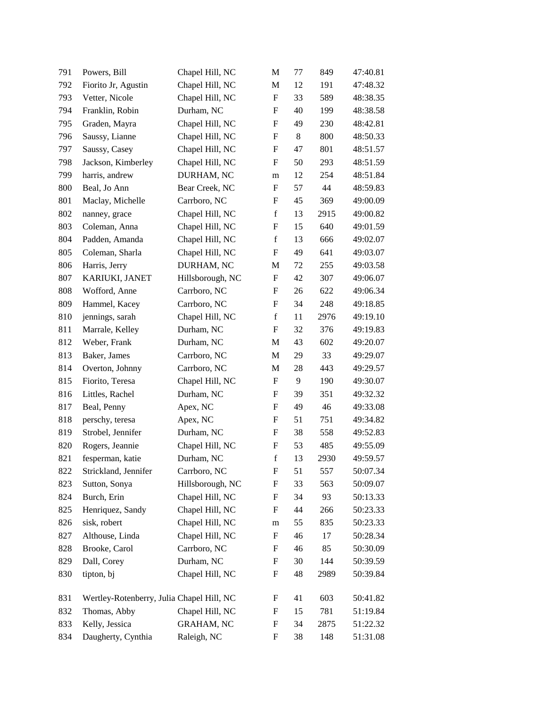| 791 | Powers, Bill                              | Chapel Hill, NC   | M                         | 77 | 849  | 47:40.81 |
|-----|-------------------------------------------|-------------------|---------------------------|----|------|----------|
| 792 | Fiorito Jr, Agustin                       | Chapel Hill, NC   | M                         | 12 | 191  | 47:48.32 |
| 793 | Vetter, Nicole                            | Chapel Hill, NC   | $\boldsymbol{\mathrm{F}}$ | 33 | 589  | 48:38.35 |
| 794 | Franklin, Robin                           | Durham, NC        | F                         | 40 | 199  | 48:38.58 |
| 795 | Graden, Mayra                             | Chapel Hill, NC   | $\boldsymbol{\mathrm{F}}$ | 49 | 230  | 48:42.81 |
| 796 | Saussy, Lianne                            | Chapel Hill, NC   | $\boldsymbol{\mathrm{F}}$ | 8  | 800  | 48:50.33 |
| 797 | Saussy, Casey                             | Chapel Hill, NC   | F                         | 47 | 801  | 48:51.57 |
| 798 | Jackson, Kimberley                        | Chapel Hill, NC   | $\boldsymbol{\mathrm{F}}$ | 50 | 293  | 48:51.59 |
| 799 | harris, andrew                            | DURHAM, NC        | m                         | 12 | 254  | 48:51.84 |
| 800 | Beal, Jo Ann                              | Bear Creek, NC    | $\boldsymbol{\mathrm{F}}$ | 57 | 44   | 48:59.83 |
| 801 | Maclay, Michelle                          | Carrboro, NC      | $\boldsymbol{\mathrm{F}}$ | 45 | 369  | 49:00.09 |
| 802 | nanney, grace                             | Chapel Hill, NC   | $\mathbf f$               | 13 | 2915 | 49:00.82 |
| 803 | Coleman, Anna                             | Chapel Hill, NC   | ${\bf F}$                 | 15 | 640  | 49:01.59 |
| 804 | Padden, Amanda                            | Chapel Hill, NC   | $\mathbf f$               | 13 | 666  | 49:02.07 |
| 805 | Coleman, Sharla                           | Chapel Hill, NC   | $\boldsymbol{\mathrm{F}}$ | 49 | 641  | 49:03.07 |
| 806 | Harris, Jerry                             | DURHAM, NC        | M                         | 72 | 255  | 49:03.58 |
| 807 | KARIUKI, JANET                            | Hillsborough, NC  | F                         | 42 | 307  | 49:06.07 |
| 808 | Wofford, Anne                             | Carrboro, NC      | $\boldsymbol{\mathrm{F}}$ | 26 | 622  | 49:06.34 |
| 809 | Hammel, Kacey                             | Carrboro, NC      | $\boldsymbol{F}$          | 34 | 248  | 49:18.85 |
| 810 | jennings, sarah                           | Chapel Hill, NC   | $\mathbf f$               | 11 | 2976 | 49:19.10 |
| 811 | Marrale, Kelley                           | Durham, NC        | $\boldsymbol{\mathrm{F}}$ | 32 | 376  | 49:19.83 |
| 812 | Weber, Frank                              | Durham, NC        | M                         | 43 | 602  | 49:20.07 |
| 813 | Baker, James                              | Carrboro, NC      | M                         | 29 | 33   | 49:29.07 |
| 814 | Overton, Johnny                           | Carrboro, NC      | M                         | 28 | 443  | 49:29.57 |
| 815 | Fiorito, Teresa                           | Chapel Hill, NC   | $\boldsymbol{\mathrm{F}}$ | 9  | 190  | 49:30.07 |
| 816 | Littles, Rachel                           | Durham, NC        | $\boldsymbol{\mathrm{F}}$ | 39 | 351  | 49:32.32 |
| 817 | Beal, Penny                               | Apex, NC          | F                         | 49 | 46   | 49:33.08 |
| 818 | perschy, teresa                           | Apex, NC          | $\boldsymbol{\mathrm{F}}$ | 51 | 751  | 49:34.82 |
| 819 | Strobel, Jennifer                         | Durham, NC        | $\boldsymbol{F}$          | 38 | 558  | 49:52.83 |
| 820 | Rogers, Jeannie                           | Chapel Hill, NC   | $\boldsymbol{F}$          | 53 | 485  | 49:55.09 |
| 821 | fesperman, katie                          | Durham, NC        | $\mathbf f$               | 13 | 2930 | 49:59.57 |
| 822 | Strickland, Jennifer                      | Carrboro, NC      | F                         | 51 | 557  | 50:07.34 |
| 823 | Sutton, Sonya                             | Hillsborough, NC  | $\boldsymbol{\mathrm{F}}$ | 33 | 563  | 50:09.07 |
| 824 | Burch, Erin                               | Chapel Hill, NC   | F                         | 34 | 93   | 50:13.33 |
| 825 | Henriquez, Sandy                          | Chapel Hill, NC   | $\boldsymbol{F}$          | 44 | 266  | 50:23.33 |
| 826 | sisk, robert                              | Chapel Hill, NC   | m                         | 55 | 835  | 50:23.33 |
| 827 | Althouse, Linda                           | Chapel Hill, NC   | $\boldsymbol{F}$          | 46 | 17   | 50:28.34 |
| 828 | Brooke, Carol                             | Carrboro, NC      | $\boldsymbol{F}$          | 46 | 85   | 50:30.09 |
| 829 | Dall, Corey                               | Durham, NC        | $\boldsymbol{F}$          | 30 | 144  | 50:39.59 |
| 830 | tipton, bj                                | Chapel Hill, NC   | $\boldsymbol{F}$          | 48 | 2989 | 50:39.84 |
| 831 | Wertley-Rotenberry, Julia Chapel Hill, NC |                   | F                         | 41 | 603  | 50:41.82 |
| 832 | Thomas, Abby                              | Chapel Hill, NC   | $\boldsymbol{F}$          | 15 | 781  | 51:19.84 |
| 833 | Kelly, Jessica                            | <b>GRAHAM, NC</b> | F                         | 34 | 2875 | 51:22.32 |
| 834 | Daugherty, Cynthia                        | Raleigh, NC       | $\boldsymbol{F}$          | 38 | 148  | 51:31.08 |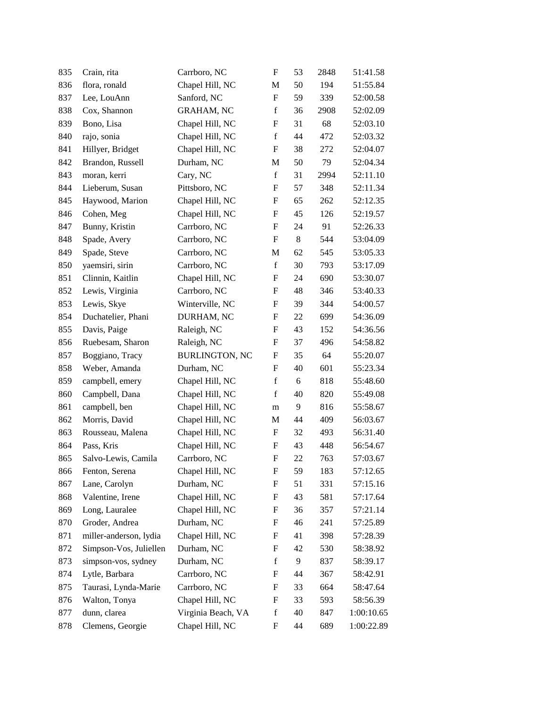| 835 | Crain, rita            | Carrboro, NC          | $\boldsymbol{\mathrm{F}}$ | 53 | 2848 | 51:41.58   |
|-----|------------------------|-----------------------|---------------------------|----|------|------------|
| 836 | flora, ronald          | Chapel Hill, NC       | M                         | 50 | 194  | 51:55.84   |
| 837 | Lee, LouAnn            | Sanford, NC           | F                         | 59 | 339  | 52:00.58   |
| 838 | Cox, Shannon           | <b>GRAHAM, NC</b>     | $\mathbf f$               | 36 | 2908 | 52:02.09   |
| 839 | Bono, Lisa             | Chapel Hill, NC       | F                         | 31 | 68   | 52:03.10   |
| 840 | rajo, sonia            | Chapel Hill, NC       | $\mathbf f$               | 44 | 472  | 52:03.32   |
| 841 | Hillyer, Bridget       | Chapel Hill, NC       | F                         | 38 | 272  | 52:04.07   |
| 842 | Brandon, Russell       | Durham, NC            | M                         | 50 | 79   | 52:04.34   |
| 843 | moran, kerri           | Cary, NC              | $\mathbf f$               | 31 | 2994 | 52:11.10   |
| 844 | Lieberum, Susan        | Pittsboro, NC         | F                         | 57 | 348  | 52:11.34   |
| 845 | Haywood, Marion        | Chapel Hill, NC       | $\boldsymbol{\mathrm{F}}$ | 65 | 262  | 52:12.35   |
| 846 | Cohen, Meg             | Chapel Hill, NC       | F                         | 45 | 126  | 52:19.57   |
| 847 | Bunny, Kristin         | Carrboro, NC          | F                         | 24 | 91   | 52:26.33   |
| 848 | Spade, Avery           | Carrboro, NC          | F                         | 8  | 544  | 53:04.09   |
| 849 | Spade, Steve           | Carrboro, NC          | M                         | 62 | 545  | 53:05.33   |
| 850 | yaemsiri, sirin        | Carrboro, NC          | $\mathbf f$               | 30 | 793  | 53:17.09   |
| 851 | Clinnin, Kaitlin       | Chapel Hill, NC       | F                         | 24 | 690  | 53:30.07   |
| 852 | Lewis, Virginia        | Carrboro, NC          | $\mathbf F$               | 48 | 346  | 53:40.33   |
| 853 | Lewis, Skye            | Winterville, NC       | F                         | 39 | 344  | 54:00.57   |
| 854 | Duchatelier, Phani     | DURHAM, NC            | F                         | 22 | 699  | 54:36.09   |
| 855 | Davis, Paige           | Raleigh, NC           | F                         | 43 | 152  | 54:36.56   |
| 856 | Ruebesam, Sharon       | Raleigh, NC           | F                         | 37 | 496  | 54:58.82   |
| 857 | Boggiano, Tracy        | <b>BURLINGTON, NC</b> | F                         | 35 | 64   | 55:20.07   |
| 858 | Weber, Amanda          | Durham, NC            | F                         | 40 | 601  | 55:23.34   |
| 859 | campbell, emery        | Chapel Hill, NC       | $\mathbf f$               | 6  | 818  | 55:48.60   |
| 860 | Campbell, Dana         | Chapel Hill, NC       | $\mathbf f$               | 40 | 820  | 55:49.08   |
| 861 | campbell, ben          | Chapel Hill, NC       | m                         | 9  | 816  | 55:58.67   |
| 862 | Morris, David          | Chapel Hill, NC       | M                         | 44 | 409  | 56:03.67   |
| 863 | Rousseau, Malena       | Chapel Hill, NC       | F                         | 32 | 493  | 56:31.40   |
| 864 | Pass, Kris             | Chapel Hill, NC       | F                         | 43 | 448  | 56:54.67   |
| 865 | Salvo-Lewis, Camila    | Carrboro, NC          | $\boldsymbol{\mathrm{F}}$ | 22 | 763  | 57:03.67   |
| 866 | Fenton, Serena         | Chapel Hill, NC       | F                         | 59 | 183  | 57:12.65   |
| 867 | Lane, Carolyn          | Durham, NC            | F                         | 51 | 331  | 57:15.16   |
| 868 | Valentine, Irene       | Chapel Hill, NC       | F                         | 43 | 581  | 57:17.64   |
| 869 | Long, Lauralee         | Chapel Hill, NC       | F                         | 36 | 357  | 57:21.14   |
| 870 | Groder, Andrea         | Durham, NC            | F                         | 46 | 241  | 57:25.89   |
| 871 | miller-anderson, lydia | Chapel Hill, NC       | F                         | 41 | 398  | 57:28.39   |
| 872 | Simpson-Vos, Juliellen | Durham, NC            | F                         | 42 | 530  | 58:38.92   |
| 873 | simpson-vos, sydney    | Durham, NC            | $\mathbf f$               | 9  | 837  | 58:39.17   |
| 874 | Lytle, Barbara         | Carrboro, NC          | F                         | 44 | 367  | 58:42.91   |
| 875 | Taurasi, Lynda-Marie   | Carrboro, NC          | F                         | 33 | 664  | 58:47.64   |
| 876 | Walton, Tonya          | Chapel Hill, NC       | F                         | 33 | 593  | 58:56.39   |
| 877 | dunn, clarea           | Virginia Beach, VA    | $\mathbf f$               | 40 | 847  | 1:00:10.65 |
| 878 | Clemens, Georgie       | Chapel Hill, NC       | F                         | 44 | 689  | 1:00:22.89 |